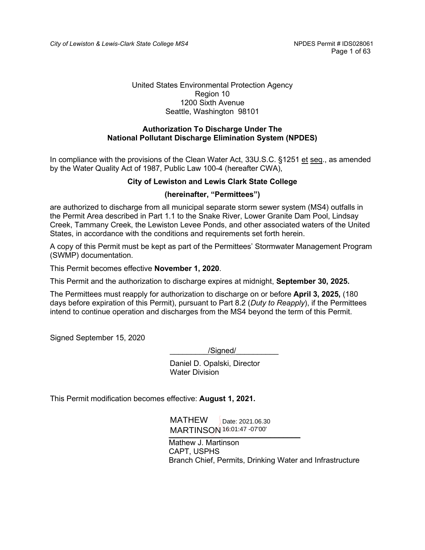#### United States Environmental Protection Agency Region 10 1200 Sixth Avenue Seattle, Washington 98101

#### **Authorization To Discharge Under The National Pollutant Discharge Elimination System (NPDES)**

In compliance with the provisions of the Clean Water Act, 33U.S.C. §1251 et seq., as amended by the Water Quality Act of 1987, Public Law 100-4 (hereafter CWA),

#### **City of Lewiston and Lewis Clark State College**

#### **(hereinafter, "Permittees")**

are authorized to discharge from all municipal separate storm sewer system (MS4) outfalls in the Permit Area described in Part 1.1 to the Snake River, Lower Granite Dam Pool, Lindsay Creek, Tammany Creek, the Lewiston Levee Ponds, and other associated waters of the United States, in accordance with the conditions and requirements set forth herein.

A copy of this Permit must be kept as part of the Permittees' Stormwater Management Program (SWMP) documentation.

This Permit becomes effective **November 1, 2020**.

This Permit and the authorization to discharge expires at midnight, **September 30, 2025.**

The Permittees must reapply for authorization to discharge on or before **April 3, 2025,** (180 days before expiration of this Permit), pursuant to Part 8.2 (*Duty to Reapply*), if the Permittees intend to continue operation and discharges from the MS4 beyond the term of this Permit.

Signed September 15, 2020

/Signed/

 Daniel D. Opalski, Director Water Division

This Permit modification becomes effective: **August 1, 2021.** 

 \_\_\_\_\_\_\_\_\_\_\_\_\_\_\_\_\_\_\_\_\_\_\_\_\_\_\_\_\_\_\_ MARTINSON 16:01:47 -07'00'MATHEW Date: 2021.06.30

Mathew J. Martinson CAPT, USPHS Branch Chief, Permits, Drinking Water and Infrastructure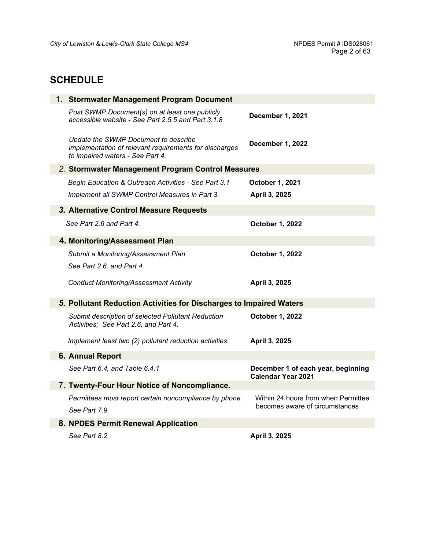# <span id="page-1-0"></span>**SCHEDULE**

| 1. Stormwater Management Program Document                                                                                          |                                                                 |  |  |
|------------------------------------------------------------------------------------------------------------------------------------|-----------------------------------------------------------------|--|--|
| Post SWMP Document(s) on at least one publicly<br>accessible website - See Part 2.5.5 and Part 3.1.8                               | December 1, 2021                                                |  |  |
| Update the SWMP Document to describe<br>implementation of relevant requirements for discharges<br>to impaired waters - See Part 4. | December 1, 2022                                                |  |  |
| 2. Stormwater Management Program Control Measures                                                                                  |                                                                 |  |  |
| Begin Education & Outreach Activities - See Part 3.1                                                                               | October 1, 2021                                                 |  |  |
| Implement all SWMP Control Measures in Part 3.                                                                                     | April 3, 2025                                                   |  |  |
| 3. Alternative Control Measure Requests                                                                                            |                                                                 |  |  |
| See Part 2.6 and Part 4.                                                                                                           | October 1, 2022                                                 |  |  |
| 4. Monitoring/Assessment Plan                                                                                                      |                                                                 |  |  |
| Submit a Monitoring/Assessment Plan                                                                                                | October 1, 2022                                                 |  |  |
| See Part 2.6, and Part 4.                                                                                                          |                                                                 |  |  |
| <b>Conduct Monitoring/Assessment Activity</b>                                                                                      | April 3, 2025                                                   |  |  |
| 5. Pollutant Reduction Activities for Discharges to Impaired Waters                                                                |                                                                 |  |  |
| Submit description of selected Pollutant Reduction<br>Activities; See Part 2.6, and Part 4.                                        | October 1, 2022                                                 |  |  |
| Implement least two (2) pollutant reduction activities.                                                                            | April 3, 2025                                                   |  |  |
| <b>6. Annual Report</b>                                                                                                            |                                                                 |  |  |
| See Part 6.4, and Table 6.4.1                                                                                                      | December 1 of each year, beginning<br><b>Calendar Year 2021</b> |  |  |
| 7. Twenty-Four Hour Notice of Noncompliance.                                                                                       |                                                                 |  |  |
| Permittees must report certain noncompliance by phone.                                                                             | Within 24 hours from when Permittee                             |  |  |
| See Part 7.9.                                                                                                                      | becomes aware of circumstances                                  |  |  |
| 8. NPDES Permit Renewal Application                                                                                                |                                                                 |  |  |
| See Part 8.2.                                                                                                                      | April 3, 2025                                                   |  |  |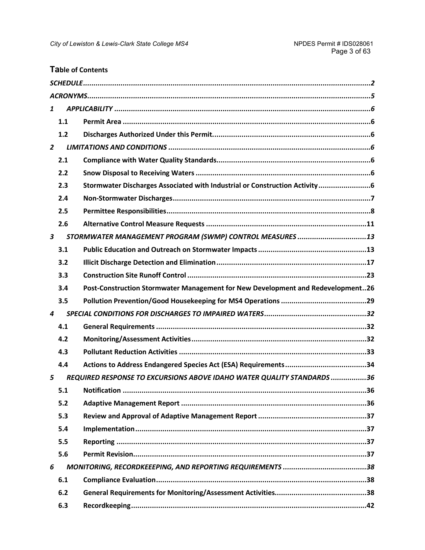# **Table of Contents**

| 1              |     |                                                                                 |
|----------------|-----|---------------------------------------------------------------------------------|
|                | 1.1 |                                                                                 |
|                | 1.2 |                                                                                 |
| $\overline{2}$ |     |                                                                                 |
|                | 2.1 |                                                                                 |
|                | 2.2 |                                                                                 |
|                | 2.3 | Stormwater Discharges Associated with Industrial or Construction Activity6      |
|                | 2.4 |                                                                                 |
|                | 2.5 |                                                                                 |
|                | 2.6 |                                                                                 |
| 3              |     | STORMWATER MANAGEMENT PROGRAM (SWMP) CONTROL MEASURES 13                        |
|                | 3.1 |                                                                                 |
|                | 3.2 |                                                                                 |
|                | 3.3 |                                                                                 |
|                | 3.4 | Post-Construction Stormwater Management for New Development and Redevelopment26 |
|                | 3.5 |                                                                                 |
| 4              |     |                                                                                 |
|                | 4.1 |                                                                                 |
|                | 4.2 |                                                                                 |
|                | 4.3 |                                                                                 |
|                | 4.4 |                                                                                 |
| 5              |     | REQUIRED RESPONSE TO EXCURSIONS ABOVE IDAHO WATER QUALITY STANDARDS 36          |
|                | 5.1 |                                                                                 |
|                | 5.2 |                                                                                 |
|                | 5.3 |                                                                                 |
|                | 5.4 |                                                                                 |
|                | 5.5 |                                                                                 |
|                | 5.6 |                                                                                 |
| 6              |     |                                                                                 |
|                | 6.1 |                                                                                 |
|                | 6.2 |                                                                                 |
|                | 6.3 |                                                                                 |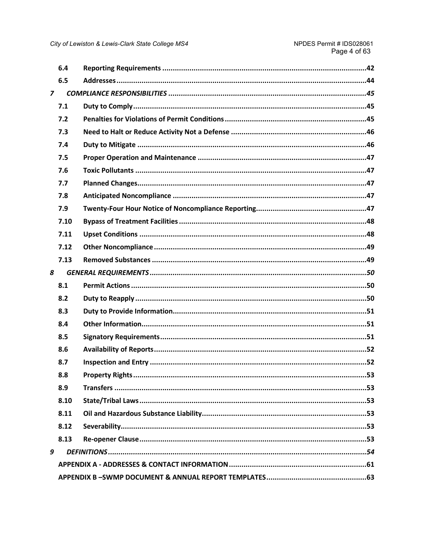|                | 6.4  |  |
|----------------|------|--|
|                | 6.5  |  |
| $\overline{z}$ |      |  |
|                | 7.1  |  |
|                | 7.2  |  |
|                | 7.3  |  |
|                | 7.4  |  |
|                | 7.5  |  |
|                | 7.6  |  |
|                | 7.7  |  |
|                | 7.8  |  |
|                | 7.9  |  |
|                | 7.10 |  |
|                | 7.11 |  |
|                | 7.12 |  |
|                | 7.13 |  |
| 8              |      |  |
|                | 8.1  |  |
|                | 8.2  |  |
|                | 8.3  |  |
|                | 8.4  |  |
|                | 8.5  |  |
|                | 8.6  |  |
|                | 8.7  |  |
|                | 8.8  |  |
|                | 8.9  |  |
|                | 8.10 |  |
|                | 8.11 |  |
|                | 8.12 |  |
|                | 8.13 |  |
| 9              |      |  |
|                |      |  |
|                |      |  |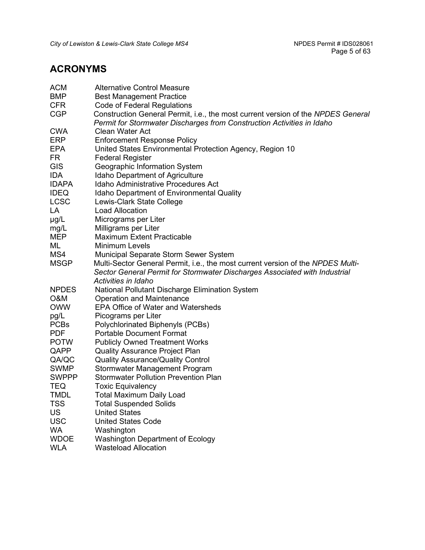# <span id="page-4-0"></span>**ACRONYMS**

| <b>ACM</b>   | <b>Alternative Control Measure</b>                                               |
|--------------|----------------------------------------------------------------------------------|
| <b>BMP</b>   | <b>Best Management Practice</b>                                                  |
| <b>CFR</b>   | Code of Federal Regulations                                                      |
| <b>CGP</b>   | Construction General Permit, i.e., the most current version of the NPDES General |
|              | Permit for Stormwater Discharges from Construction Activities in Idaho           |
| <b>CWA</b>   | <b>Clean Water Act</b>                                                           |
| <b>ERP</b>   | <b>Enforcement Response Policy</b>                                               |
| <b>EPA</b>   | United States Environmental Protection Agency, Region 10                         |
| <b>FR</b>    | <b>Federal Register</b>                                                          |
| GIS          | Geographic Information System                                                    |
| <b>IDA</b>   | <b>Idaho Department of Agriculture</b>                                           |
| <b>IDAPA</b> | <b>Idaho Administrative Procedures Act</b>                                       |
| <b>IDEQ</b>  | <b>Idaho Department of Environmental Quality</b>                                 |
| <b>LCSC</b>  | Lewis-Clark State College                                                        |
| LA           | <b>Load Allocation</b>                                                           |
| $\mu$ g/L    | Micrograms per Liter                                                             |
| mg/L         | Milligrams per Liter                                                             |
| <b>MEP</b>   | <b>Maximum Extent Practicable</b>                                                |
| ML           | <b>Minimum Levels</b>                                                            |
| MS4          | <b>Municipal Separate Storm Sewer System</b>                                     |
| <b>MSGP</b>  | Multi-Sector General Permit, i.e., the most current version of the NPDES Multi-  |
|              | Sector General Permit for Stormwater Discharges Associated with Industrial       |
|              | Activities in Idaho                                                              |
| <b>NPDES</b> | National Pollutant Discharge Elimination System                                  |
| O&M          | <b>Operation and Maintenance</b>                                                 |
| <b>OWW</b>   | <b>EPA Office of Water and Watersheds</b>                                        |
| pg/L         | Picograms per Liter                                                              |
| <b>PCBs</b>  | Polychlorinated Biphenyls (PCBs)                                                 |
| <b>PDF</b>   | <b>Portable Document Format</b>                                                  |
| <b>POTW</b>  | <b>Publicly Owned Treatment Works</b>                                            |
| QAPP         | <b>Quality Assurance Project Plan</b>                                            |
| QA/QC        | <b>Quality Assurance/Quality Control</b>                                         |
| <b>SWMP</b>  | Stormwater Management Program                                                    |
| <b>SWPPP</b> | <b>Stormwater Pollution Prevention Plan</b>                                      |
| <b>TEQ</b>   | <b>Toxic Equivalency</b>                                                         |
| TMDL         | <b>Total Maximum Daily Load</b>                                                  |
| <b>TSS</b>   | <b>Total Suspended Solids</b>                                                    |
| <b>US</b>    | <b>United States</b>                                                             |
| <b>USC</b>   | <b>United States Code</b>                                                        |
| <b>WA</b>    | Washington                                                                       |
| <b>WDOE</b>  | <b>Washington Department of Ecology</b>                                          |
| <b>WLA</b>   | <b>Wasteload Allocation</b>                                                      |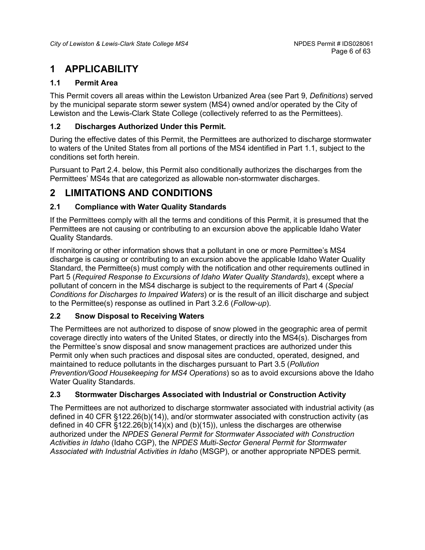# <span id="page-5-0"></span>**1 APPLICABILITY**

# <span id="page-5-1"></span>**1.1 Permit Area**

This Permit covers all areas within the Lewiston Urbanized Area (see Part 9, *Definitions*) served by the municipal separate storm sewer system (MS4) owned and/or operated by the City of Lewiston and the Lewis-Clark State College (collectively referred to as the Permittees).

# <span id="page-5-2"></span>**1.2 Discharges Authorized Under this Permit.**

During the effective dates of this Permit, the Permittees are authorized to discharge stormwater to waters of the United States from all portions of the MS4 identified in Part 1.1, subject to the conditions set forth herein.

Pursuant to Part 2.4. below, this Permit also conditionally authorizes the discharges from the Permittees' MS4s that are categorized as allowable non-stormwater discharges.

# <span id="page-5-3"></span>**2 LIMITATIONS AND CONDITIONS**

# <span id="page-5-4"></span>**2.1 Compliance with Water Quality Standards**

If the Permittees comply with all the terms and conditions of this Permit, it is presumed that the Permittees are not causing or contributing to an excursion above the applicable Idaho Water Quality Standards.

If monitoring or other information shows that a pollutant in one or more Permittee's MS4 discharge is causing or contributing to an excursion above the applicable Idaho Water Quality Standard, the Permittee(s) must comply with the notification and other requirements outlined in Part 5 (*Required Response to Excursions of Idaho Water Quality Standards*), except where a pollutant of concern in the MS4 discharge is subject to the requirements of Part 4 (*Special Conditions for Discharges to Impaired Waters*) or is the result of an illicit discharge and subject to the Permittee(s) response as outlined in Part 3.2.6 (*Follow-up*).

## <span id="page-5-5"></span>**2.2 Snow Disposal to Receiving Waters**

The Permittees are not authorized to dispose of snow plowed in the geographic area of permit coverage directly into waters of the United States, or directly into the MS4(s). Discharges from the Permittee's snow disposal and snow management practices are authorized under this Permit only when such practices and disposal sites are conducted, operated, designed, and maintained to reduce pollutants in the discharges pursuant to Part 3.5 (*Pollution Prevention/Good Housekeeping for MS4 Operations*) so as to avoid excursions above the Idaho Water Quality Standards.

# <span id="page-5-6"></span>**2.3 Stormwater Discharges Associated with Industrial or Construction Activity**

The Permittees are not authorized to discharge stormwater associated with industrial activity (as defined in 40 CFR §122.26(b)(14)), and/or stormwater associated with construction activity (as defined in 40 CFR  $\S 122.26(b)(14)(x)$  and (b)(15)), unless the discharges are otherwise authorized under the *NPDES General Permit for Stormwater Associated with Construction Activities in Idaho* (Idaho CGP), the *NPDES Multi-Sector General Permit for Stormwater Associated with Industrial Activities in Idaho* (MSGP), or another appropriate NPDES permit.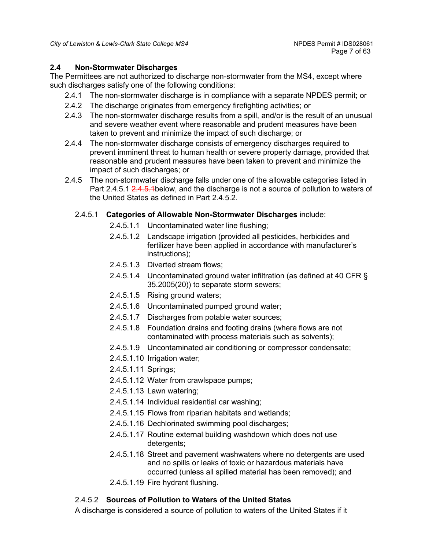# <span id="page-6-0"></span>**2.4 Non-Stormwater Discharges**

The Permittees are not authorized to discharge non-stormwater from the MS4, except where such discharges satisfy one of the following conditions:

- 2.4.1 The non-stormwater discharge is in compliance with a separate NPDES permit; or
- 2.4.2 The discharge originates from emergency firefighting activities; or
- 2.4.3 The non-stormwater discharge results from a spill, and/or is the result of an unusual and severe weather event where reasonable and prudent measures have been taken to prevent and minimize the impact of such discharge; or
- 2.4.4 The non-stormwater discharge consists of emergency discharges required to prevent imminent threat to human health or severe property damage, provided that reasonable and prudent measures have been taken to prevent and minimize the impact of such discharges; or
- 2.4.5 The non-stormwater discharge falls under one of the allowable categories listed in Part 2.4.5.1 [2.4.5.1b](#page-6-1)elow, and the discharge is not a source of pollution to waters of the United States as defined in Part 2.4.5.2.

# <span id="page-6-1"></span>2.4.5.1 **Categories of Allowable Non-Stormwater Discharges** include:

- 2.4.5.1.1 Uncontaminated water line flushing;
- 2.4.5.1.2 Landscape irrigation (provided all pesticides, herbicides and fertilizer have been applied in accordance with manufacturer's instructions);
- 2.4.5.1.3 Diverted stream flows;
- 2.4.5.1.4 Uncontaminated ground water infiltration (as defined at 40 CFR § 35.2005(20)) to separate storm sewers;
- 2.4.5.1.5 Rising ground waters;
- 2.4.5.1.6 Uncontaminated pumped ground water;
- 2.4.5.1.7 Discharges from potable water sources;
- 2.4.5.1.8 Foundation drains and footing drains (where flows are not contaminated with process materials such as solvents);
- 2.4.5.1.9 Uncontaminated air conditioning or compressor condensate;
- 2.4.5.1.10 Irrigation water;
- 2.4.5.1.11 Springs;
- 2.4.5.1.12 Water from crawlspace pumps;
- 2.4.5.1.13 Lawn watering;
- 2.4.5.1.14 Individual residential car washing;
- 2.4.5.1.15 Flows from riparian habitats and wetlands;
- 2.4.5.1.16 Dechlorinated swimming pool discharges;
- 2.4.5.1.17 Routine external building washdown which does not use detergents;
- 2.4.5.1.18 Street and pavement washwaters where no detergents are used and no spills or leaks of toxic or hazardous materials have occurred (unless all spilled material has been removed); and
- 2.4.5.1.19 Fire hydrant flushing.

# 2.4.5.2 **Sources of Pollution to Waters of the United States**

A discharge is considered a source of pollution to waters of the United States if it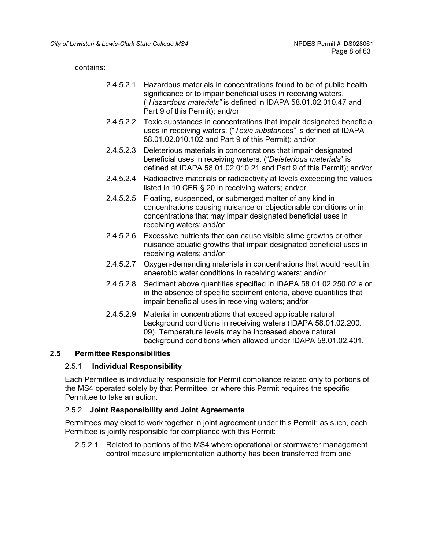contains:

- 2.4.5.2.1 Hazardous materials in concentrations found to be of public health significance or to impair beneficial uses in receiving waters. ("*Hazardous materials"* is defined in IDAPA 58.01.02.010.47 and Part 9 of this Permit); and/or
- 2.4.5.2.2 Toxic substances in concentrations that impair designated beneficial uses in receiving waters. ("*Toxic substanc*es" is defined at IDAPA 58.01.02.010.102 and Part 9 of this Permit); and/or
- 2.4.5.2.3 Deleterious materials in concentrations that impair designated beneficial uses in receiving waters. ("*Deleterious materials*" is defined at IDAPA 58.01.02.010.21 and Part 9 of this Permit); and/or
- 2.4.5.2.4 Radioactive materials or radioactivity at levels exceeding the values listed in 10 CFR § 20 in receiving waters; and/or
- 2.4.5.2.5 Floating, suspended, or submerged matter of any kind in concentrations causing nuisance or objectionable conditions or in concentrations that may impair designated beneficial uses in receiving waters; and/or
- 2.4.5.2.6 Excessive nutrients that can cause visible slime growths or other nuisance aquatic growths that impair designated beneficial uses in receiving waters; and/or
- 2.4.5.2.7 Oxygen-demanding materials in concentrations that would result in anaerobic water conditions in receiving waters; and/or
- 2.4.5.2.8 Sediment above quantities specified in IDAPA 58.01.02.250.02.e or in the absence of specific sediment criteria, above quantities that impair beneficial uses in receiving waters; and/or
- 2.4.5.2.9 Material in concentrations that exceed applicable natural background conditions in receiving waters (IDAPA 58.01.02.200. 09). Temperature levels may be increased above natural background conditions when allowed under IDAPA 58.01.02.401.

#### <span id="page-7-0"></span>**2.5 Permittee Responsibilities**

#### 2.5.1 **Individual Responsibility**

Each Permittee is individually responsible for Permit compliance related only to portions of the MS4 operated solely by that Permittee, or where this Permit requires the specific Permittee to take an action.

#### 2.5.2 **Joint Responsibility and Joint Agreements**

Permittees may elect to work together in joint agreement under this Permit; as such, each Permittee is jointly responsible for compliance with this Permit:

2.5.2.1 Related to portions of the MS4 where operational or stormwater management control measure implementation authority has been transferred from one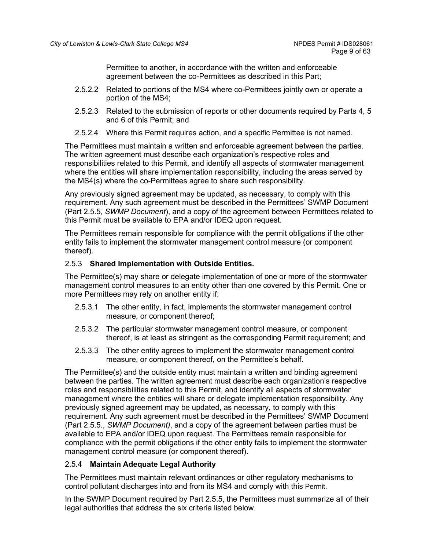Permittee to another, in accordance with the written and enforceable agreement between the co-Permittees as described in this Part;

- 2.5.2.2 Related to portions of the MS4 where co-Permittees jointly own or operate a portion of the MS4;
- 2.5.2.3 Related to the submission of reports or other documents required by Parts 4, 5 and 6 of this Permit; and
- 2.5.2.4 Where this Permit requires action, and a specific Permittee is not named.

The Permittees must maintain a written and enforceable agreement between the parties. The written agreement must describe each organization's respective roles and responsibilities related to this Permit, and identify all aspects of stormwater management where the entities will share implementation responsibility, including the areas served by the MS4(s) where the co-Permittees agree to share such responsibility.

Any previously signed agreement may be updated, as necessary, to comply with this requirement. Any such agreement must be described in the Permittees' SWMP Document (Part 2.5.5, *SWMP Document*), and a copy of the agreement between Permittees related to this Permit must be available to EPA and/or IDEQ upon request.

The Permittees remain responsible for compliance with the permit obligations if the other entity fails to implement the stormwater management control measure (or component thereof).

## 2.5.3 **Shared Implementation with Outside Entities.**

The Permittee(s) may share or delegate implementation of one or more of the stormwater management control measures to an entity other than one covered by this Permit. One or more Permittees may rely on another entity if:

- 2.5.3.1 The other entity, in fact, implements the stormwater management control measure, or component thereof;
- 2.5.3.2 The particular stormwater management control measure, or component thereof, is at least as stringent as the corresponding Permit requirement; and
- 2.5.3.3 The other entity agrees to implement the stormwater management control measure, or component thereof, on the Permittee's behalf.

The Permittee(s) and the outside entity must maintain a written and binding agreement between the parties. The written agreement must describe each organization's respective roles and responsibilities related to this Permit, and identify all aspects of stormwater management where the entities will share or delegate implementation responsibility. Any previously signed agreement may be updated, as necessary, to comply with this requirement. Any such agreement must be described in the Permittees' SWMP Document (Part 2.5.5., *SWMP Document)*, and a copy of the agreement between parties must be available to EPA and/or IDEQ upon request. The Permittees remain responsible for compliance with the permit obligations if the other entity fails to implement the stormwater management control measure (or component thereof).

## 2.5.4 **Maintain Adequate Legal Authority**

The Permittees must maintain relevant ordinances or other regulatory mechanisms to control pollutant discharges into and from its MS4 and comply with this Permit.

In the SWMP Document required by Part 2.5.5, the Permittees must summarize all of their legal authorities that address the six criteria listed below.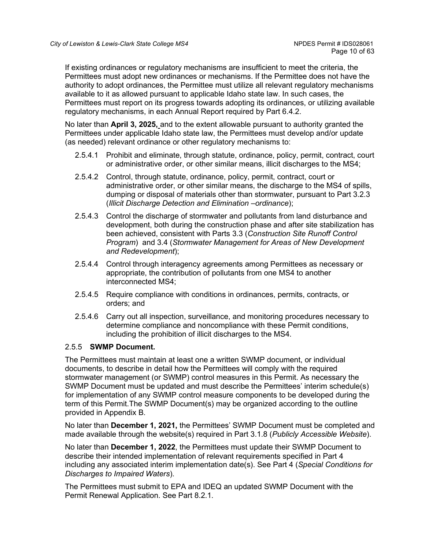If existing ordinances or regulatory mechanisms are insufficient to meet the criteria, the Permittees must adopt new ordinances or mechanisms. If the Permittee does not have the authority to adopt ordinances, the Permittee must utilize all relevant regulatory mechanisms available to it as allowed pursuant to applicable Idaho state law. In such cases, the Permittees must report on its progress towards adopting its ordinances, or utilizing available regulatory mechanisms, in each Annual Report required by Part 6.4.2.

No later than **April 3, 2025,** and to the extent allowable pursuant to authority granted the Permittees under applicable Idaho state law, the Permittees must develop and/or update (as needed) relevant ordinance or other regulatory mechanisms to:

- 2.5.4.1 Prohibit and eliminate, through statute, ordinance, policy, permit, contract, court or administrative order, or other similar means, illicit discharges to the MS4;
- 2.5.4.2 Control, through statute, ordinance, policy, permit, contract, court or administrative order, or other similar means, the discharge to the MS4 of spills, dumping or disposal of materials other than stormwater, pursuant to Part 3.2.3 (*Illicit Discharge Detection and Elimination –ordinance*);
- 2.5.4.3 Control the discharge of stormwater and pollutants from land disturbance and development, both during the construction phase and after site stabilization has been achieved, consistent with Parts 3.3 (*Construction Site Runoff Control Program*) and 3.4 (*Stormwater Management for Areas of New Development and Redevelopment*);
- 2.5.4.4 Control through interagency agreements among Permittees as necessary or appropriate, the contribution of pollutants from one MS4 to another interconnected MS4;
- 2.5.4.5 Require compliance with conditions in ordinances, permits, contracts, or orders; and
- 2.5.4.6 Carry out all inspection, surveillance, and monitoring procedures necessary to determine compliance and noncompliance with these Permit conditions, including the prohibition of illicit discharges to the MS4.

## 2.5.5 **SWMP Document.**

The Permittees must maintain at least one a written SWMP document, or individual documents, to describe in detail how the Permittees will comply with the required stormwater management (or SWMP) control measures in this Permit. As necessary the SWMP Document must be updated and must describe the Permittees' interim schedule(s) for implementation of any SWMP control measure components to be developed during the term of this Permit.The SWMP Document(s) may be organized according to the outline provided in Appendix B.

No later than **December 1, 2021,** the Permittees' SWMP Document must be completed and made available through the website(s) required in Part 3.1.8 (*Publicly Accessible Website*).

No later than **December 1, 2022**, the Permittees must update their SWMP Document to describe their intended implementation of relevant requirements specified in Part 4 including any associated interim implementation date(s). See Part 4 (*Special Conditions for Discharges to Impaired Waters*).

The Permittees must submit to EPA and IDEQ an updated SWMP Document with the Permit Renewal Application. See Part 8.2.1.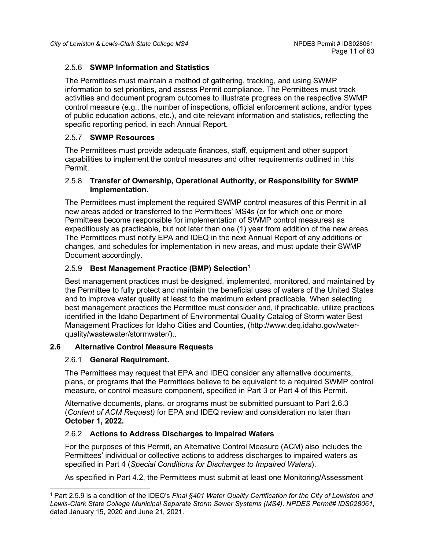## 2.5.6 **SWMP Information and Statistics**

The Permittees must maintain a method of gathering, tracking, and using SWMP information to set priorities, and assess Permit compliance. The Permittees must track activities and document program outcomes to illustrate progress on the respective SWMP control measure (e.g., the number of inspections, official enforcement actions, and/or types of public education actions, etc.), and cite relevant information and statistics, reflecting the specific reporting period, in each Annual Report.

## 2.5.7 **SWMP Resources**

The Permittees must provide adequate finances, staff, equipment and other support capabilities to implement the control measures and other requirements outlined in this Permit.

## 2.5.8 **Transfer of Ownership, Operational Authority, or Responsibility for SWMP Implementation.**

The Permittees must implement the required SWMP control measures of this Permit in all new areas added or transferred to the Permittees' MS4s (or for which one or more Permittees become responsible for implementation of SWMP control measures) as expeditiously as practicable, but not later than one (1) year from addition of the new areas. The Permittees must notify EPA and IDEQ in the next Annual Report of any additions or changes, and schedules for implementation in new areas, and must update their SWMP Document accordingly.

# 2.5.9 **Best Management Practice (BMP) Selection[1](#page-10-1)**

Best management practices must be designed, implemented, monitored, and maintained by the Permittee to fully protect and maintain the beneficial uses of waters of the United States and to improve water quality at least to the maximum extent practicable. When selecting best management practices the Permittee must consider and, if practicable, utilize practices identified in the Idaho Department of Environmental Quality Catalog of Storm water Best Management Practices for Idaho Cities and Counties, (http://www.deq.idaho.gov/waterquality/wastewater/stormwater/)..

## <span id="page-10-0"></span>**2.6 Alternative Control Measure Requests**

## 2.6.1 **General Requirement.**

The Permittees may request that EPA and IDEQ consider any alternative documents, plans, or programs that the Permittees believe to be equivalent to a required SWMP control measure, or control measure component, specified in Part 3 or Part 4 of this Permit.

Alternative documents, plans, or programs must be submitted pursuant to Part 2.6.3 (*Content of ACM Request)* for EPA and IDEQ review and consideration no later than **October 1, 2022.**

## 2.6.2 **Actions to Address Discharges to Impaired Waters**

For the purposes of this Permit, an Alternative Control Measure (ACM) also includes the Permittees' individual or collective actions to address discharges to impaired waters as specified in Part 4 (*Special Conditions for Discharges to Impaired Waters*).

As specified in Part 4.2, the Permittees must submit at least one Monitoring/Assessment

<span id="page-10-1"></span><sup>1</sup> Part 2.5.9 is a condition of the IDEQ's *Final §401 Water Quality Certification for the City of Lewiston and Lewis-Clark State College Municipal Separate Storm Sewer Systems (MS4), NPDES Permit# IDS028061*, dated January 15, 2020 and June 21, 2021.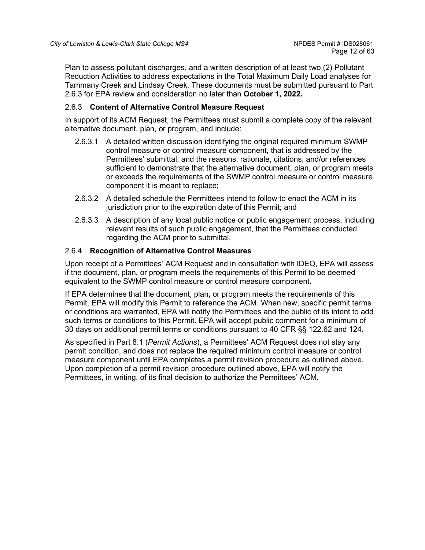Plan to assess pollutant discharges, and a written description of at least two (2) Pollutant Reduction Activities to address expectations in the Total Maximum Daily Load analyses for Tammany Creek and Lindsay Creek. These documents must be submitted pursuant to Part 2.6.3 for EPA review and consideration no later than **October 1, 2022.**

## 2.6.3 **Content of Alternative Control Measure Request**

In support of its ACM Request, the Permittees must submit a complete copy of the relevant alternative document, plan, or program, and include:

- 2.6.3.1 A detailed written discussion identifying the original required minimum SWMP control measure or control measure component, that is addressed by the Permittees' submittal, and the reasons, rationale, citations, and/or references sufficient to demonstrate that the alternative document, plan, or program meets or exceeds the requirements of the SWMP control measure or control measure component it is meant to replace;
- 2.6.3.2 A detailed schedule the Permittees intend to follow to enact the ACM in its jurisdiction prior to the expiration date of this Permit; and
- 2.6.3.3 A description of any local public notice or public engagement process, including relevant results of such public engagement, that the Permittees conducted regarding the ACM prior to submittal.

#### 2.6.4 **Recognition of Alternative Control Measures**

Upon receipt of a Permittees' ACM Request and in consultation with IDEQ, EPA will assess if the document, plan**,** or program meets the requirements of this Permit to be deemed equivalent to the SWMP control measure or control measure component.

If EPA determines that the document, plan**,** or program meets the requirements of this Permit, EPA will modify this Permit to reference the ACM. When new, specific permit terms or conditions are warranted, EPA will notify the Permittees and the public of its intent to add such terms or conditions to this Permit. EPA will accept public comment for a minimum of 30 days on additional permit terms or conditions pursuant to 40 CFR §§ 122.62 and 124.

As specified in Part 8.1 (*Permit Actions*), a Permittees' ACM Request does not stay any permit condition, and does not replace the required minimum control measure or control measure component until EPA completes a permit revision procedure as outlined above. Upon completion of a permit revision procedure outlined above, EPA will notify the Permittees, in writing, of its final decision to authorize the Permittees' ACM.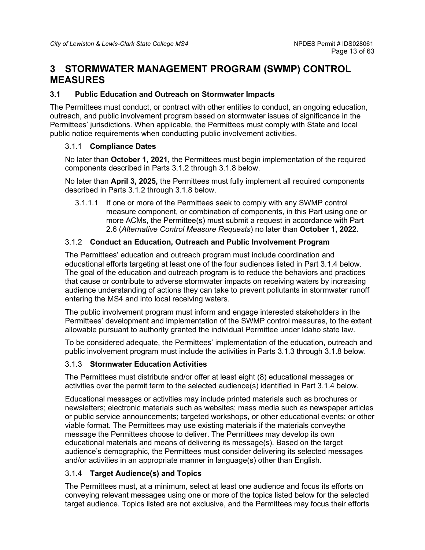# <span id="page-12-0"></span>**3 STORMWATER MANAGEMENT PROGRAM (SWMP) CONTROL MEASURES**

## <span id="page-12-1"></span>**3.1 Public Education and Outreach on Stormwater Impacts**

The Permittees must conduct, or contract with other entities to conduct, an ongoing education, outreach, and public involvement program based on stormwater issues of significance in the Permittees' jurisdictions. When applicable, the Permittees must comply with State and local public notice requirements when conducting public involvement activities.

#### 3.1.1 **Compliance Dates**

No later than **October 1, 2021,** the Permittees must begin implementation of the required components described in Parts 3.1.2 through 3.1.8 below.

No later than **April 3, 2025,** the Permittees must fully implement all required components described in Parts 3.1.2 through 3.1.8 below.

3.1.1.1 If one or more of the Permittees seek to comply with any SWMP control measure component, or combination of components, in this Part using one or more ACMs, the Permittee(s) must submit a request in accordance with Part 2.6 (*Alternative Control Measure Requests*) no later than **October 1, 2022.**

# 3.1.2 **Conduct an Education, Outreach and Public Involvement Program**

The Permittees' education and outreach program must include coordination and educational efforts targeting at least one of the four audiences listed in Part 3.1.4 below. The goal of the education and outreach program is to reduce the behaviors and practices that cause or contribute to adverse stormwater impacts on receiving waters by increasing audience understanding of actions they can take to prevent pollutants in stormwater runoff entering the MS4 and into local receiving waters.

The public involvement program must inform and engage interested stakeholders in the Permittees' development and implementation of the SWMP control measures, to the extent allowable pursuant to authority granted the individual Permittee under Idaho state law.

To be considered adequate, the Permittees' implementation of the education, outreach and public involvement program must include the activities in Parts 3.1.3 through 3.1.8 below.

## 3.1.3 **Stormwater Education Activities**

The Permittees must distribute and/or offer at least eight (8) educational messages or activities over the permit term to the selected audience(s) identified in Part 3.1.4 below.

Educational messages or activities may include printed materials such as brochures or newsletters; electronic materials such as websites; mass media such as newspaper articles or public service announcements; targeted workshops, or other educational events; or other viable format. The Permittees may use existing materials if the materials conveythe message the Permittees choose to deliver. The Permittees may develop its own educational materials and means of delivering its message(s). Based on the target audience's demographic, the Permittees must consider delivering its selected messages and/or activities in an appropriate manner in language(s) other than English.

## 3.1.4 **Target Audience(s) and Topics**

The Permittees must, at a minimum, select at least one audience and focus its efforts on conveying relevant messages using one or more of the topics listed below for the selected target audience. Topics listed are not exclusive, and the Permittees may focus their efforts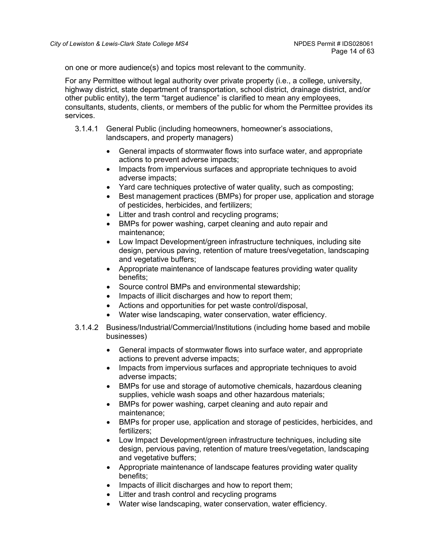on one or more audience(s) and topics most relevant to the community.

For any Permittee without legal authority over private property (i.e., a college, university, highway district, state department of transportation, school district, drainage district, and/or other public entity), the term "target audience" is clarified to mean any employees, consultants, students, clients, or members of the public for whom the Permittee provides its services.

- 3.1.4.1 General Public (including homeowners, homeowner's associations, landscapers, and property managers)
	- General impacts of stormwater flows into surface water, and appropriate actions to prevent adverse impacts;
	- Impacts from impervious surfaces and appropriate techniques to avoid adverse impacts;
	- Yard care techniques protective of water quality, such as composting;
	- Best management practices (BMPs) for proper use, application and storage of pesticides, herbicides, and fertilizers;
	- Litter and trash control and recycling programs;
	- BMPs for power washing, carpet cleaning and auto repair and maintenance;
	- Low Impact Development/green infrastructure techniques, including site design, pervious paving, retention of mature trees/vegetation, landscaping and vegetative buffers;
	- Appropriate maintenance of landscape features providing water quality benefits;
	- Source control BMPs and environmental stewardship;
	- Impacts of illicit discharges and how to report them;
	- Actions and opportunities for pet waste control/disposal,
	- Water wise landscaping, water conservation, water efficiency.
- 3.1.4.2 Business/Industrial/Commercial/Institutions (including home based and mobile businesses)
	- General impacts of stormwater flows into surface water, and appropriate actions to prevent adverse impacts;
	- Impacts from impervious surfaces and appropriate techniques to avoid adverse impacts;
	- BMPs for use and storage of automotive chemicals, hazardous cleaning supplies, vehicle wash soaps and other hazardous materials;
	- BMPs for power washing, carpet cleaning and auto repair and maintenance;
	- BMPs for proper use, application and storage of pesticides, herbicides, and fertilizers;
	- Low Impact Development/green infrastructure techniques, including site design, pervious paving, retention of mature trees/vegetation, landscaping and vegetative buffers;
	- Appropriate maintenance of landscape features providing water quality benefits;
	- Impacts of illicit discharges and how to report them;
	- Litter and trash control and recycling programs
	- Water wise landscaping, water conservation, water efficiency.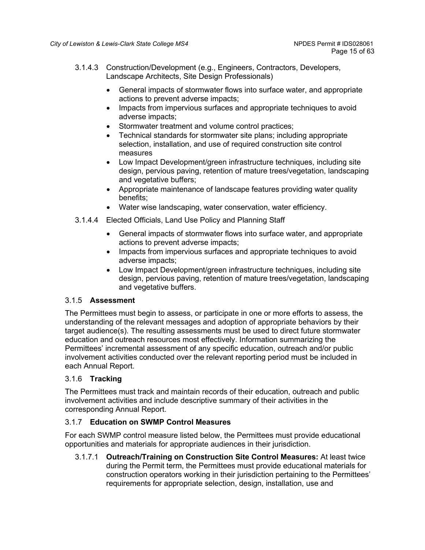- 3.1.4.3 Construction/Development (e.g., Engineers, Contractors, Developers, Landscape Architects, Site Design Professionals)
	- General impacts of stormwater flows into surface water, and appropriate actions to prevent adverse impacts;
	- Impacts from impervious surfaces and appropriate techniques to avoid adverse impacts;
	- Stormwater treatment and volume control practices;
	- Technical standards for stormwater site plans; including appropriate selection, installation, and use of required construction site control measures
	- Low Impact Development/green infrastructure techniques, including site design, pervious paving, retention of mature trees/vegetation, landscaping and vegetative buffers;
	- Appropriate maintenance of landscape features providing water quality benefits;
	- Water wise landscaping, water conservation, water efficiency.
- 3.1.4.4 Elected Officials, Land Use Policy and Planning Staff
	- General impacts of stormwater flows into surface water, and appropriate actions to prevent adverse impacts;
	- Impacts from impervious surfaces and appropriate techniques to avoid adverse impacts;
	- Low Impact Development/green infrastructure techniques, including site design, pervious paving, retention of mature trees/vegetation, landscaping and vegetative buffers.

# 3.1.5 **Assessment**

The Permittees must begin to assess, or participate in one or more efforts to assess, the understanding of the relevant messages and adoption of appropriate behaviors by their target audience(s). The resulting assessments must be used to direct future stormwater education and outreach resources most effectively. Information summarizing the Permittees' incremental assessment of any specific education, outreach and/or public involvement activities conducted over the relevant reporting period must be included in each Annual Report.

# 3.1.6 **Tracking**

The Permittees must track and maintain records of their education, outreach and public involvement activities and include descriptive summary of their activities in the corresponding Annual Report.

## 3.1.7 **Education on SWMP Control Measures**

For each SWMP control measure listed below, the Permittees must provide educational opportunities and materials for appropriate audiences in their jurisdiction.

3.1.7.1 **Outreach/Training on Construction Site Control Measures:** At least twice during the Permit term, the Permittees must provide educational materials for construction operators working in their jurisdiction pertaining to the Permittees' requirements for appropriate selection, design, installation, use and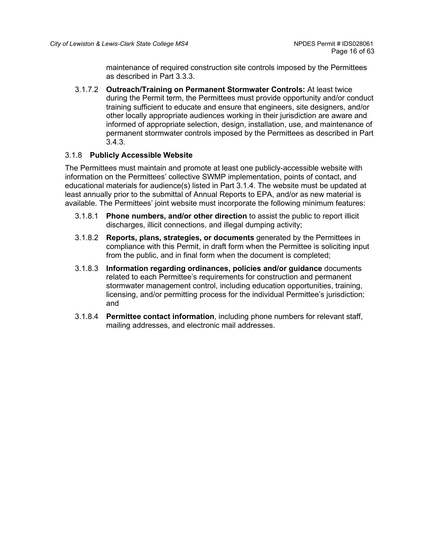maintenance of required construction site controls imposed by the Permittees as described in Part 3.3.3.

3.1.7.2 **Outreach/Training on Permanent Stormwater Controls:** At least twice during the Permit term, the Permittees must provide opportunity and/or conduct training sufficient to educate and ensure that engineers, site designers, and/or other locally appropriate audiences working in their jurisdiction are aware and informed of appropriate selection, design, installation, use, and maintenance of permanent stormwater controls imposed by the Permittees as described in Part 3.4.3.

## 3.1.8 **Publicly Accessible Website**

The Permittees must maintain and promote at least one publicly-accessible website with information on the Permittees' collective SWMP implementation, points of contact, and educational materials for audience(s) listed in Part 3.1.4. The website must be updated at least annually prior to the submittal of Annual Reports to EPA, and/or as new material is available. The Permittees' joint website must incorporate the following minimum features:

- 3.1.8.1 **Phone numbers, and/or other direction** to assist the public to report illicit discharges, illicit connections, and illegal dumping activity;
- 3.1.8.2 **Reports, plans, strategies, or documents** generated by the Permittees in compliance with this Permit, in draft form when the Permittee is soliciting input from the public, and in final form when the document is completed;
- 3.1.8.3 **Information regarding ordinances, policies and/or guidance** documents related to each Permittee's requirements for construction and permanent stormwater management control, including education opportunities, training, licensing, and/or permitting process for the individual Permittee's jurisdiction; and
- 3.1.8.4 **Permittee contact information**, including phone numbers for relevant staff, mailing addresses, and electronic mail addresses.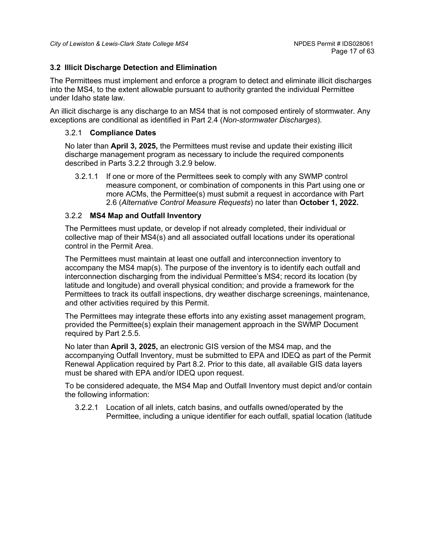## <span id="page-16-0"></span>**3.2 Illicit Discharge Detection and Elimination**

The Permittees must implement and enforce a program to detect and eliminate illicit discharges into the MS4, to the extent allowable pursuant to authority granted the individual Permittee under Idaho state law.

An illicit discharge is any discharge to an MS4 that is not composed entirely of stormwater. Any exceptions are conditional as identified in Part 2.4 (*Non-stormwater Discharges*).

#### 3.2.1 **Compliance Dates**

No later than **April 3, 2025,** the Permittees must revise and update their existing illicit discharge management program as necessary to include the required components described in Parts 3.2.2 through 3.2.9 below.

3.2.1.1 If one or more of the Permittees seek to comply with any SWMP control measure component, or combination of components in this Part using one or more ACMs, the Permittee(s) must submit a request in accordance with Part 2.6 (*Alternative Control Measure Requests*) no later than **October 1, 2022.**

#### 3.2.2 **MS4 Map and Outfall Inventory**

The Permittees must update, or develop if not already completed, their individual or collective map of their MS4(s) and all associated outfall locations under its operational control in the Permit Area.

The Permittees must maintain at least one outfall and interconnection inventory to accompany the MS4 map(s). The purpose of the inventory is to identify each outfall and interconnection discharging from the individual Permittee's MS4; record its location (by latitude and longitude) and overall physical condition; and provide a framework for the Permittees to track its outfall inspections, dry weather discharge screenings, maintenance, and other activities required by this Permit.

The Permittees may integrate these efforts into any existing asset management program, provided the Permittee(s) explain their management approach in the SWMP Document required by Part 2.5.5.

No later than **April 3, 2025,** an electronic GIS version of the MS4 map, and the accompanying Outfall Inventory, must be submitted to EPA and IDEQ as part of the Permit Renewal Application required by Part 8.2. Prior to this date, all available GIS data layers must be shared with EPA and/or IDEQ upon request.

To be considered adequate, the MS4 Map and Outfall Inventory must depict and/or contain the following information:

3.2.2.1 Location of all inlets, catch basins, and outfalls owned/operated by the Permittee, including a unique identifier for each outfall, spatial location (latitude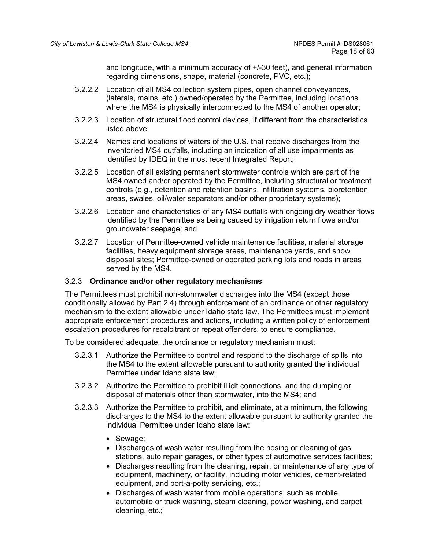and longitude, with a minimum accuracy of +/-30 feet), and general information regarding dimensions, shape, material (concrete, PVC, etc.);

- 3.2.2.2 Location of all MS4 collection system pipes, open channel conveyances, (laterals, mains, etc.) owned/operated by the Permittee, including locations where the MS4 is physically interconnected to the MS4 of another operator;
- 3.2.2.3 Location of structural flood control devices, if different from the characteristics listed above;
- 3.2.2.4 Names and locations of waters of the U.S. that receive discharges from the inventoried MS4 outfalls, including an indication of all use impairments as identified by IDEQ in the most recent Integrated Report;
- 3.2.2.5 Location of all existing permanent stormwater controls which are part of the MS4 owned and/or operated by the Permittee, including structural or treatment controls (e.g., detention and retention basins, infiltration systems, bioretention areas, swales, oil/water separators and/or other proprietary systems);
- 3.2.2.6 Location and characteristics of any MS4 outfalls with ongoing dry weather flows identified by the Permittee as being caused by irrigation return flows and/or groundwater seepage; and
- 3.2.2.7 Location of Permittee-owned vehicle maintenance facilities, material storage facilities, heavy equipment storage areas, maintenance yards, and snow disposal sites; Permittee-owned or operated parking lots and roads in areas served by the MS4.

## 3.2.3 **Ordinance and/or other regulatory mechanisms**

The Permittees must prohibit non-stormwater discharges into the MS4 (except those conditionally allowed by Part 2.4) through enforcement of an ordinance or other regulatory mechanism to the extent allowable under Idaho state law. The Permittees must implement appropriate enforcement procedures and actions, including a written policy of enforcement escalation procedures for recalcitrant or repeat offenders, to ensure compliance.

To be considered adequate, the ordinance or regulatory mechanism must:

- 3.2.3.1 Authorize the Permittee to control and respond to the discharge of spills into the MS4 to the extent allowable pursuant to authority granted the individual Permittee under Idaho state law;
- 3.2.3.2 Authorize the Permittee to prohibit illicit connections, and the dumping or disposal of materials other than stormwater, into the MS4; and
- 3.2.3.3 Authorize the Permittee to prohibit, and eliminate, at a minimum, the following discharges to the MS4 to the extent allowable pursuant to authority granted the individual Permittee under Idaho state law:
	- Sewage;
	- Discharges of wash water resulting from the hosing or cleaning of gas stations, auto repair garages, or other types of automotive services facilities;
	- Discharges resulting from the cleaning, repair, or maintenance of any type of equipment, machinery, or facility, including motor vehicles, cement-related equipment, and port-a-potty servicing, etc.;
	- Discharges of wash water from mobile operations, such as mobile automobile or truck washing, steam cleaning, power washing, and carpet cleaning, etc.;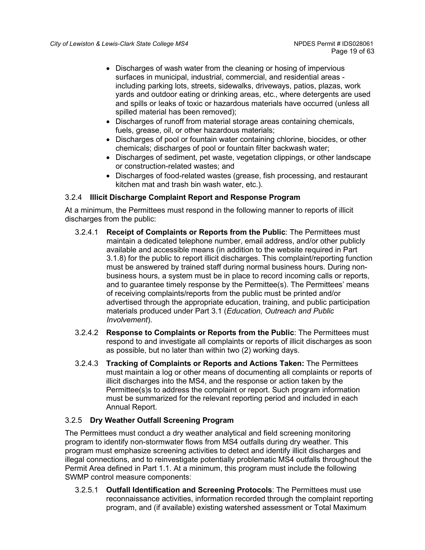- Discharges of wash water from the cleaning or hosing of impervious surfaces in municipal, industrial, commercial, and residential areas including parking lots, streets, sidewalks, driveways, patios, plazas, work yards and outdoor eating or drinking areas, etc., where detergents are used and spills or leaks of toxic or hazardous materials have occurred (unless all spilled material has been removed);
- Discharges of runoff from material storage areas containing chemicals, fuels, grease, oil, or other hazardous materials;
- Discharges of pool or fountain water containing chlorine, biocides, or other chemicals; discharges of pool or fountain filter backwash water;
- Discharges of sediment, pet waste, vegetation clippings, or other landscape or construction-related wastes; and
- Discharges of food-related wastes (grease, fish processing, and restaurant kitchen mat and trash bin wash water, etc.).

# 3.2.4 **Illicit Discharge Complaint Report and Response Program**

At a minimum, the Permittees must respond in the following manner to reports of illicit discharges from the public:

- 3.2.4.1 **Receipt of Complaints or Reports from the Public**: The Permittees must maintain a dedicated telephone number, email address, and/or other publicly available and accessible means (in addition to the website required in Part 3.1.8) for the public to report illicit discharges. This complaint/reporting function must be answered by trained staff during normal business hours. During nonbusiness hours, a system must be in place to record incoming calls or reports, and to guarantee timely response by the Permittee(s). The Permittees' means of receiving complaints/reports from the public must be printed and/or advertised through the appropriate education, training, and public participation materials produced under Part 3.1 (*Education, Outreach and Public Involvement*).
- 3.2.4.2 **Response to Complaints or Reports from the Public**: The Permittees must respond to and investigate all complaints or reports of illicit discharges as soon as possible, but no later than within two (2) working days.
- 3.2.4.3 **Tracking of Complaints or Reports and Actions Taken:** The Permittees must maintain a log or other means of documenting all complaints or reports of illicit discharges into the MS4, and the response or action taken by the Permittee(s)s to address the complaint or report. Such program information must be summarized for the relevant reporting period and included in each Annual Report.

# 3.2.5 **Dry Weather Outfall Screening Program**

The Permittees must conduct a dry weather analytical and field screening monitoring program to identify non-stormwater flows from MS4 outfalls during dry weather. This program must emphasize screening activities to detect and identify illicit discharges and illegal connections, and to reinvestigate potentially problematic MS4 outfalls throughout the Permit Area defined in Part 1.1. At a minimum, this program must include the following SWMP control measure components:

3.2.5.1 **Outfall Identification and Screening Protocols**: The Permittees must use reconnaissance activities, information recorded through the complaint reporting program, and (if available) existing watershed assessment or Total Maximum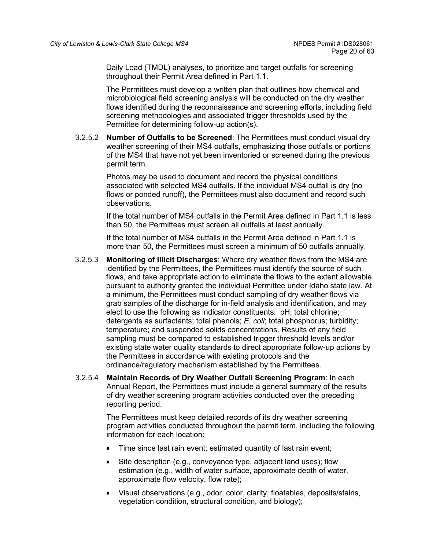Daily Load (TMDL) analyses, to prioritize and target outfalls for screening throughout their Permit Area defined in Part 1.1.

The Permittees must develop a written plan that outlines how chemical and microbiological field screening analysis will be conducted on the dry weather flows identified during the reconnaissance and screening efforts, including field screening methodologies and associated trigger thresholds used by the Permittee for determining follow-up action(s).

3.2.5.2 **Number of Outfalls to be Screened**: The Permittees must conduct visual dry weather screening of their MS4 outfalls, emphasizing those outfalls or portions of the MS4 that have not yet been inventoried or screened during the previous permit term.

> Photos may be used to document and record the physical conditions associated with selected MS4 outfalls. If the individual MS4 outfall is dry (no flows or ponded runoff), the Permittees must also document and record such observations.

If the total number of MS4 outfalls in the Permit Area defined in Part 1.1 is less than 50, the Permittees must screen all outfalls at least annually.

If the total number of MS4 outfalls in the Permit Area defined in Part 1.1 is more than 50, the Permittees must screen a minimum of 50 outfalls annually.

- 3.2.5.3 **Monitoring of Illicit Discharges**: Where dry weather flows from the MS4 are identified by the Permittees, the Permittees must identify the source of such flows, and take appropriate action to eliminate the flows to the extent allowable pursuant to authority granted the individual Permittee under Idaho state law. At a minimum, the Permittees must conduct sampling of dry weather flows via grab samples of the discharge for in-field analysis and identification, and may elect to use the following as indicator constituents: pH; total chlorine; detergents as surfactants; total phenols; *E. coli*; total phosphorus; turbidity; temperature; and suspended solids concentrations. Results of any field sampling must be compared to established trigger threshold levels and/or existing state water quality standards to direct appropriate follow-up actions by the Permittees in accordance with existing protocols and the ordinance/regulatory mechanism established by the Permittees.
- 3.2.5.4 **Maintain Records of Dry Weather Outfall Screening Program**: In each Annual Report, the Permittees must include a general summary of the results of dry weather screening program activities conducted over the preceding reporting period.

The Permittees must keep detailed records of its dry weather screening program activities conducted throughout the permit term, including the following information for each location:

- Time since last rain event; estimated quantity of last rain event;
- Site description (e.g., conveyance type, adjacent land uses); flow estimation (e.g., width of water surface, approximate depth of water, approximate flow velocity, flow rate);
- Visual observations (e.g., odor, color, clarity, floatables, deposits/stains, vegetation condition, structural condition, and biology);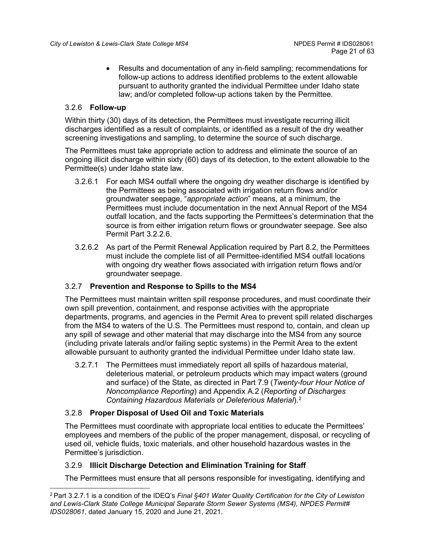• Results and documentation of any in-field sampling; recommendations for follow-up actions to address identified problems to the extent allowable pursuant to authority granted the individual Permittee under Idaho state law; and/or completed follow-up actions taken by the Permittee.

# 3.2.6 **Follow-up**

Within thirty (30) days of its detection, the Permittees must investigate recurring illicit discharges identified as a result of complaints, or identified as a result of the dry weather screening investigations and sampling, to determine the source of such discharge.

The Permittees must take appropriate action to address and eliminate the source of an ongoing illicit discharge within sixty (60) days of its detection, to the extent allowable to the Permittee(s) under Idaho state law.

- 3.2.6.1 For each MS4 outfall where the ongoing dry weather discharge is identified by the Permittees as being associated with irrigation return flows and/or groundwater seepage, "*appropriate action*" means, at a minimum, the Permittees must include documentation in the next Annual Report of the MS4 outfall location, and the facts supporting the Permittees's determination that the source is from either irrigation return flows or groundwater seepage. See also Permit Part 3.2.2.6.
- 3.2.6.2 As part of the Permit Renewal Application required by Part 8.2, the Permittees must include the complete list of all Permittee-identified MS4 outfall locations with ongoing dry weather flows associated with irrigation return flows and/or groundwater seepage.

# 3.2.7 **Prevention and Response to Spills to the MS4**

The Permittees must maintain written spill response procedures, and must coordinate their own spill prevention, containment, and response activities with the appropriate departments, programs, and agencies in the Permit Area to prevent spill related discharges from the MS4 to waters of the U.S. The Permittees must respond to, contain, and clean up any spill of sewage and other material that may discharge into the MS4 from any source (including private laterals and/or failing septic systems) in the Permit Area to the extent allowable pursuant to authority granted the individual Permittee under Idaho state law.

3.2.7.1 The Permittees must immediately report all spills of hazardous material, deleterious material, or petroleum products which may impact waters (ground and surface) of the State, as directed in Part 7.9 (*Twenty-four Hour Notice of Noncompliance Reporting*) and Appendix A.2 (*Reporting of Discharges Containing Hazardous Materials or Deleterious Material*).[2](#page-20-0)

## 3.2.8 **Proper Disposal of Used Oil and Toxic Materials**

The Permittees must coordinate with appropriate local entities to educate the Permittees' employees and members of the public of the proper management, disposal, or recycling of used oil, vehicle fluids, toxic materials, and other household hazardous wastes in the Permittee's jurisdiction.

# 3.2.9 **Illicit Discharge Detection and Elimination Training for Staff**

The Permittees must ensure that all persons responsible for investigating, identifying and

<span id="page-20-0"></span><sup>2</sup> Part 3.2.7.1 is a condition of the IDEQ's *Final §401 Water Quality Certification for the City of Lewiston and Lewis-Clark State College Municipal Separate Storm Sewer Systems (MS4), NPDES Permit# IDS028061*, dated January 15, 2020 and June 21, 2021.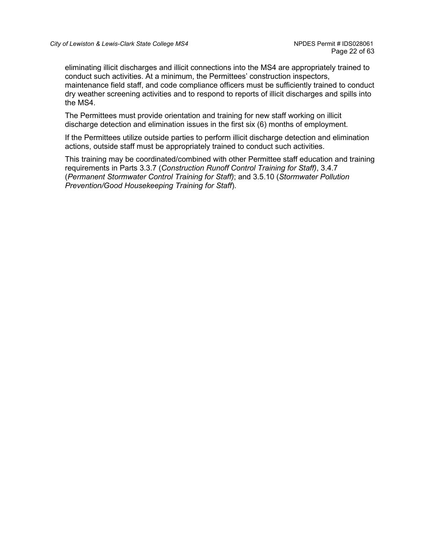eliminating illicit discharges and illicit connections into the MS4 are appropriately trained to conduct such activities. At a minimum, the Permittees' construction inspectors, maintenance field staff, and code compliance officers must be sufficiently trained to conduct dry weather screening activities and to respond to reports of illicit discharges and spills into the MS4.

The Permittees must provide orientation and training for new staff working on illicit discharge detection and elimination issues in the first six (6) months of employment.

If the Permittees utilize outside parties to perform illicit discharge detection and elimination actions, outside staff must be appropriately trained to conduct such activities.

This training may be coordinated/combined with other Permittee staff education and training requirements in Parts 3.3.7 (*Construction Runoff Control Training for Staff)*, 3.4.7 (*Permanent Stormwater Control Training for Staff)*; and 3.5.10 (*Stormwater Pollution Prevention/Good Housekeeping Training for Staff*).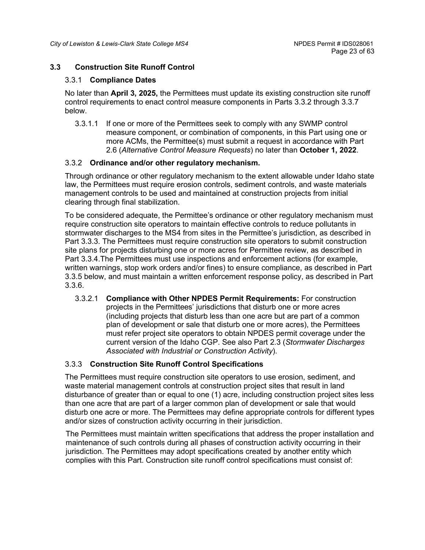## <span id="page-22-0"></span>**3.3 Construction Site Runoff Control**

#### 3.3.1 **Compliance Dates**

No later than **April 3, 2025,** the Permittees must update its existing construction site runoff control requirements to enact control measure components in Parts 3.3.2 through 3.3.7 below.

3.3.1.1 If one or more of the Permittees seek to comply with any SWMP control measure component, or combination of components, in this Part using one or more ACMs, the Permittee(s) must submit a request in accordance with Part 2.6 (*Alternative Control Measure Requests*) no later than **October 1, 2022**.

#### 3.3.2 **Ordinance and/or other regulatory mechanism.**

Through ordinance or other regulatory mechanism to the extent allowable under Idaho state law, the Permittees must require erosion controls, sediment controls, and waste materials management controls to be used and maintained at construction projects from initial clearing through final stabilization.

To be considered adequate, the Permittee's ordinance or other regulatory mechanism must require construction site operators to maintain effective controls to reduce pollutants in stormwater discharges to the MS4 from sites in the Permittee's jurisdiction, as described in Part 3.3.3. The Permittees must require construction site operators to submit construction site plans for projects disturbing one or more acres for Permittee review, as described in Part 3.3.4.The Permittees must use inspections and enforcement actions (for example, written warnings, stop work orders and/or fines) to ensure compliance, as described in Part 3.3.5 below, and must maintain a written enforcement response policy, as described in Part 3.3.6.

3.3.2.1 **Compliance with Other NPDES Permit Requirements:** For construction projects in the Permittees' jurisdictions that disturb one or more acres (including projects that disturb less than one acre but are part of a common plan of development or sale that disturb one or more acres), the Permittees must refer project site operators to obtain NPDES permit coverage under the current version of the Idaho CGP. See also Part 2.3 (*Stormwater Discharges Associated with Industrial or Construction Activity*).

## 3.3.3 **Construction Site Runoff Control Specifications**

The Permittees must require construction site operators to use erosion, sediment, and waste material management controls at construction project sites that result in land disturbance of greater than or equal to one (1) acre, including construction project sites less than one acre that are part of a larger common plan of development or sale that would disturb one acre or more. The Permittees may define appropriate controls for different types and/or sizes of construction activity occurring in their jurisdiction.

The Permittees must maintain written specifications that address the proper installation and maintenance of such controls during all phases of construction activity occurring in their jurisdiction. The Permittees may adopt specifications created by another entity which complies with this Part. Construction site runoff control specifications must consist of: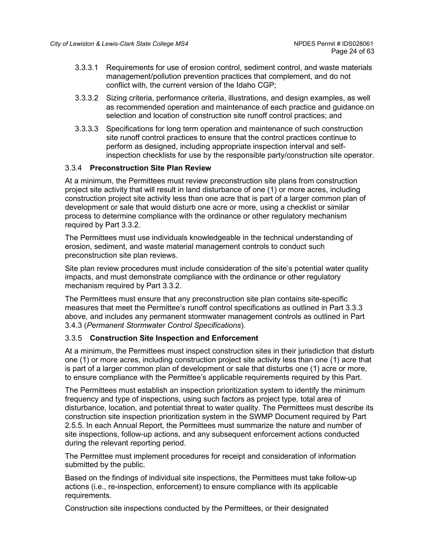- 3.3.3.1 Requirements for use of erosion control, sediment control, and waste materials management/pollution prevention practices that complement, and do not conflict with, the current version of the Idaho CGP;
- 3.3.3.2 Sizing criteria, performance criteria, illustrations, and design examples, as well as recommended operation and maintenance of each practice and guidance on selection and location of construction site runoff control practices; and
- 3.3.3.3 Specifications for long term operation and maintenance of such construction site runoff control practices to ensure that the control practices continue to perform as designed, including appropriate inspection interval and selfinspection checklists for use by the responsible party/construction site operator.

# 3.3.4 **Preconstruction Site Plan Review**

At a minimum, the Permittees must review preconstruction site plans from construction project site activity that will result in land disturbance of one (1) or more acres, including construction project site activity less than one acre that is part of a larger common plan of development or sale that would disturb one acre or more, using a checklist or similar process to determine compliance with the ordinance or other regulatory mechanism required by Part 3.3.2.

The Permittees must use individuals knowledgeable in the technical understanding of erosion, sediment, and waste material management controls to conduct such preconstruction site plan reviews.

Site plan review procedures must include consideration of the site's potential water quality impacts, and must demonstrate compliance with the ordinance or other regulatory mechanism required by Part 3.3.2.

The Permittees must ensure that any preconstruction site plan contains site-specific measures that meet the Permittee's runoff control specifications as outlined in Part 3.3.3 above, and includes any permanent stormwater management controls as outlined in Part 3.4.3 (*Permanent Stormwater Control Specifications*).

## 3.3.5 **Construction Site Inspection and Enforcement**

At a minimum, the Permittees must inspect construction sites in their jurisdiction that disturb one (1) or more acres, including construction project site activity less than one (1) acre that is part of a larger common plan of development or sale that disturbs one (1) acre or more, to ensure compliance with the Permittee's applicable requirements required by this Part.

The Permittees must establish an inspection prioritization system to identify the minimum frequency and type of inspections, using such factors as project type, total area of disturbance, location, and potential threat to water quality. The Permittees must describe its construction site inspection prioritization system in the SWMP Document required by Part 2.5.5. In each Annual Report, the Permittees must summarize the nature and number of site inspections, follow-up actions, and any subsequent enforcement actions conducted during the relevant reporting period.

The Permittee must implement procedures for receipt and consideration of information submitted by the public.

Based on the findings of individual site inspections, the Permittees must take follow-up actions (i.e., re-inspection, enforcement) to ensure compliance with its applicable requirements.

Construction site inspections conducted by the Permittees, or their designated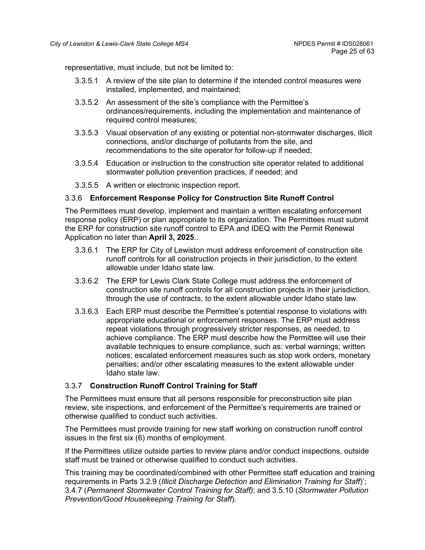representative, must include, but not be limited to:

- 3.3.5.1 A review of the site plan to determine if the intended control measures were installed, implemented, and maintained;
- 3.3.5.2 An assessment of the site's compliance with the Permittee's ordinances/requirements, including the implementation and maintenance of required control measures;
- 3.3.5.3 Visual observation of any existing or potential non-stormwater discharges, illicit connections, and/or discharge of pollutants from the site, and recommendations to the site operator for follow-up if needed;
- 3.3.5.4 Education or instruction to the construction site operator related to additional stormwater pollution prevention practices, if needed; and
- 3.3.5.5 A written or electronic inspection report.

#### 3.3.6 **Enforcement Response Policy for Construction Site Runoff Control**

The Permittees must develop, implement and maintain a written escalating enforcement response policy (ERP) or plan appropriate to its organization. The Permittees must submit the ERP for construction site runoff control to EPA and IDEQ with the Permit Renewal Application no later than **April 3, 2025**..

- 3.3.6.1 The ERP for City of Lewiston must address enforcement of construction site runoff controls for all construction projects in their jurisdiction, to the extent allowable under Idaho state law.
- 3.3.6.2 The ERP for Lewis Clark State College must address the enforcement of construction site runoff controls for all construction projects in their jurisdiction, through the use of contracts, to the extent allowable under Idaho state law.
- 3.3.6.3 Each ERP must describe the Permittee's potential response to violations with appropriate educational or enforcement responses. The ERP must address repeat violations through progressively stricter responses, as needed, to achieve compliance. The ERP must describe how the Permittee will use their available techniques to ensure compliance, such as: verbal warnings; written notices; escalated enforcement measures such as stop work orders, monetary penalties; and/or other escalating measures to the extent allowable under Idaho state law.

## 3.3.7 **Construction Runoff Control Training for Staff**

The Permittees must ensure that all persons responsible for preconstruction site plan review, site inspections, and enforcement of the Permittee's requirements are trained or otherwise qualified to conduct such activities.

The Permittees must provide training for new staff working on construction runoff control issues in the first six (6) months of employment.

If the Permittees utilize outside parties to review plans and/or conduct inspections, outside staff must be trained or otherwise qualified to conduct such activities.

This training may be coordinated/combined with other Permittee staff education and training requirements in Parts 3.2.9 (*Illicit Discharge Detection and Elimination Training for Staff*)'; 3.4.7 (*Permanent Stormwater Control Training for Staff)*; and 3.5.10 (*Stormwater Pollution Prevention/Good Housekeeping Training for Staff*).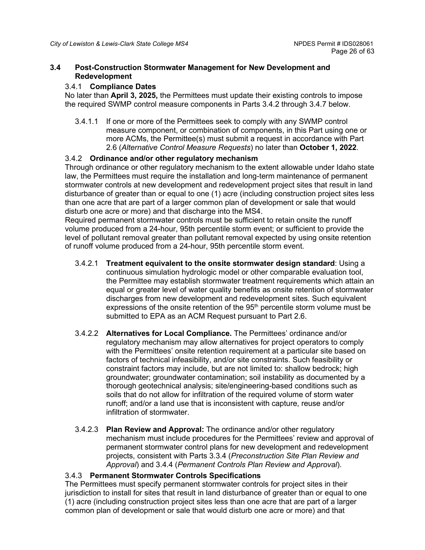#### <span id="page-25-0"></span>**3.4 Post-Construction Stormwater Management for New Development and Redevelopment**

#### 3.4.1 **Compliance Dates**

No later than **April 3, 2025,** the Permittees must update their existing controls to impose the required SWMP control measure components in Parts 3.4.2 through 3.4.7 below.

3.4.1.1 If one or more of the Permittees seek to comply with any SWMP control measure component, or combination of components, in this Part using one or more ACMs, the Permittee(s) must submit a request in accordance with Part 2.6 (*Alternative Control Measure Requests*) no later than **October 1, 2022**.

## 3.4.2 **Ordinance and/or other regulatory mechanism**

Through ordinance or other regulatory mechanism to the extent allowable under Idaho state law, the Permittees must require the installation and long-term maintenance of permanent stormwater controls at new development and redevelopment project sites that result in land disturbance of greater than or equal to one (1) acre (including construction project sites less than one acre that are part of a larger common plan of development or sale that would disturb one acre or more) and that discharge into the MS4.

Required permanent stormwater controls must be sufficient to retain onsite the runoff volume produced from a 24-hour, 95th percentile storm event; or sufficient to provide the level of pollutant removal greater than pollutant removal expected by using onsite retention of runoff volume produced from a 24-hour, 95th percentile storm event.

- 3.4.2.1 **Treatment equivalent to the onsite stormwater design standard**: Using a continuous simulation hydrologic model or other comparable evaluation tool, the Permittee may establish stormwater treatment requirements which attain an equal or greater level of water quality benefits as onsite retention of stormwater discharges from new development and redevelopment sites. Such equivalent expressions of the onsite retention of the  $95<sup>th</sup>$  percentile storm volume must be submitted to EPA as an ACM Request pursuant to Part 2.6.
- 3.4.2.2 **Alternatives for Local Compliance.** The Permittees' ordinance and/or regulatory mechanism may allow alternatives for project operators to comply with the Permittees' onsite retention requirement at a particular site based on factors of technical infeasibility, and/or site constraints. Such feasibility or constraint factors may include, but are not limited to: shallow bedrock; high groundwater; groundwater contamination; soil instability as documented by a thorough geotechnical analysis; site/engineering-based conditions such as soils that do not allow for infiltration of the required volume of storm water runoff; and/or a land use that is inconsistent with capture, reuse and/or infiltration of stormwater.
- 3.4.2.3 **Plan Review and Approval:** The ordinance and/or other regulatory mechanism must include procedures for the Permittees' review and approval of permanent stormwater control plans for new development and redevelopment projects, consistent with Parts 3.3.4 (*Preconstruction Site Plan Review and Approval*) and 3.4.4 (*Permanent Controls Plan Review and Approval*).

## 3.4.3 **Permanent Stormwater Controls Specifications**

The Permittees must specify permanent stormwater controls for project sites in their jurisdiction to install for sites that result in land disturbance of greater than or equal to one (1) acre (including construction project sites less than one acre that are part of a larger common plan of development or sale that would disturb one acre or more) and that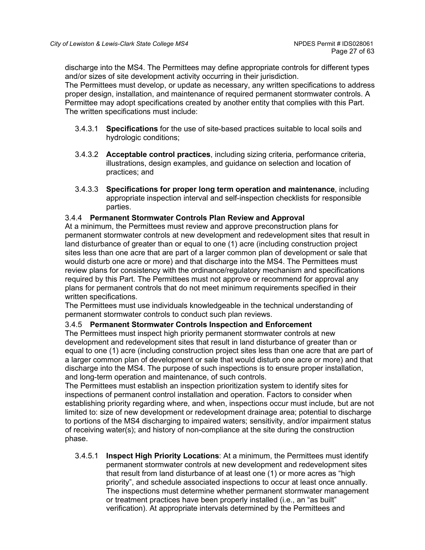discharge into the MS4. The Permittees may define appropriate controls for different types and/or sizes of site development activity occurring in their jurisdiction.

The Permittees must develop, or update as necessary, any written specifications to address proper design, installation, and maintenance of required permanent stormwater controls. A Permittee may adopt specifications created by another entity that complies with this Part. The written specifications must include:

- 3.4.3.1 **Specifications** for the use of site-based practices suitable to local soils and hydrologic conditions;
- 3.4.3.2 **Acceptable control practices**, including sizing criteria, performance criteria, illustrations, design examples, and guidance on selection and location of practices; and
- 3.4.3.3 **Specifications for proper long term operation and maintenance**, including appropriate inspection interval and self-inspection checklists for responsible parties.

## 3.4.4 **Permanent Stormwater Controls Plan Review and Approval**

At a minimum, the Permittees must review and approve preconstruction plans for permanent stormwater controls at new development and redevelopment sites that result in land disturbance of greater than or equal to one (1) acre (including construction project sites less than one acre that are part of a larger common plan of development or sale that would disturb one acre or more) and that discharge into the MS4. The Permittees must review plans for consistency with the ordinance/regulatory mechanism and specifications required by this Part. The Permittees must not approve or recommend for approval any plans for permanent controls that do not meet minimum requirements specified in their written specifications.

The Permittees must use individuals knowledgeable in the technical understanding of permanent stormwater controls to conduct such plan reviews.

## 3.4.5 **Permanent Stormwater Controls Inspection and Enforcement**

The Permittees must inspect high priority permanent stormwater controls at new development and redevelopment sites that result in land disturbance of greater than or equal to one (1) acre (including construction project sites less than one acre that are part of a larger common plan of development or sale that would disturb one acre or more) and that discharge into the MS4. The purpose of such inspections is to ensure proper installation, and long-term operation and maintenance, of such controls.

The Permittees must establish an inspection prioritization system to identify sites for inspections of permanent control installation and operation. Factors to consider when establishing priority regarding where, and when, inspections occur must include, but are not limited to: size of new development or redevelopment drainage area; potential to discharge to portions of the MS4 discharging to impaired waters; sensitivity, and/or impairment status of receiving water(s); and history of non-compliance at the site during the construction phase.

3.4.5.1 **Inspect High Priority Locations**: At a minimum, the Permittees must identify permanent stormwater controls at new development and redevelopment sites that result from land disturbance of at least one (1) or more acres as "high priority", and schedule associated inspections to occur at least once annually. The inspections must determine whether permanent stormwater management or treatment practices have been properly installed (i.e., an "as built" verification). At appropriate intervals determined by the Permittees and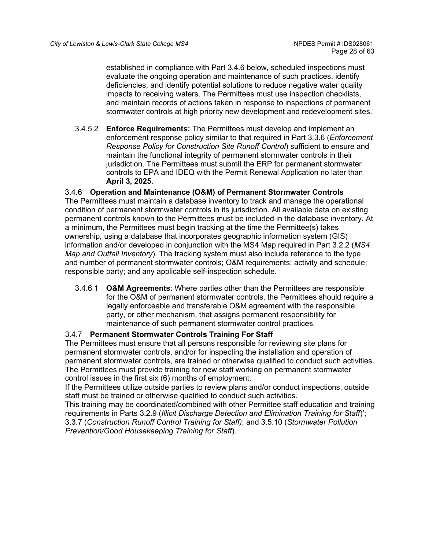established in compliance with Part 3.4.6 below, scheduled inspections must evaluate the ongoing operation and maintenance of such practices, identify deficiencies, and identify potential solutions to reduce negative water quality impacts to receiving waters. The Permittees must use inspection checklists, and maintain records of actions taken in response to inspections of permanent stormwater controls at high priority new development and redevelopment sites.

3.4.5.2 **Enforce Requirements:** The Permittees must develop and implement an enforcement response policy similar to that required in Part 3.3.6 (*Enforcement Response Policy for Construction Site Runoff Control*) sufficient to ensure and maintain the functional integrity of permanent stormwater controls in their jurisdiction. The Permittees must submit the ERP for permanent stormwater controls to EPA and IDEQ with the Permit Renewal Application no later than **April 3, 2025**.

# 3.4.6 **Operation and Maintenance (O&M) of Permanent Stormwater Controls**

The Permittees must maintain a database inventory to track and manage the operational condition of permanent stormwater controls in its jurisdiction. All available data on existing permanent controls known to the Permittees must be included in the database inventory. At a minimum, the Permittees must begin tracking at the time the Permittee(s) takes ownership, using a database that incorporates geographic information system (GIS) information and/or developed in conjunction with the MS4 Map required in Part 3.2.2 (*MS4 Map and Outfall Inventory*). The tracking system must also include reference to the type and number of permanent stormwater controls; O&M requirements; activity and schedule; responsible party; and any applicable self-inspection schedule.

3.4.6.1 **O&M Agreements**: Where parties other than the Permittees are responsible for the O&M of permanent stormwater controls, the Permittees should require a legally enforceable and transferable O&M agreement with the responsible party, or other mechanism, that assigns permanent responsibility for maintenance of such permanent stormwater control practices.

## 3.4.7 **Permanent Stormwater Controls Training For Staff**

The Permittees must ensure that all persons responsible for reviewing site plans for permanent stormwater controls, and/or for inspecting the installation and operation of permanent stormwater controls, are trained or otherwise qualified to conduct such activities. The Permittees must provide training for new staff working on permanent stormwater control issues in the first six (6) months of employment.

If the Permittees utilize outside parties to review plans and/or conduct inspections, outside staff must be trained or otherwise qualified to conduct such activities.

This training may be coordinated/combined with other Permittee staff education and training requirements in Parts 3.2.9 (*Illicit Discharge Detection and Elimination Training for Staff*)'; 3.3.7 (*Construction Runoff Control Training for Staff)*; and 3.5.10 (*Stormwater Pollution Prevention/Good Housekeeping Training for Staff*).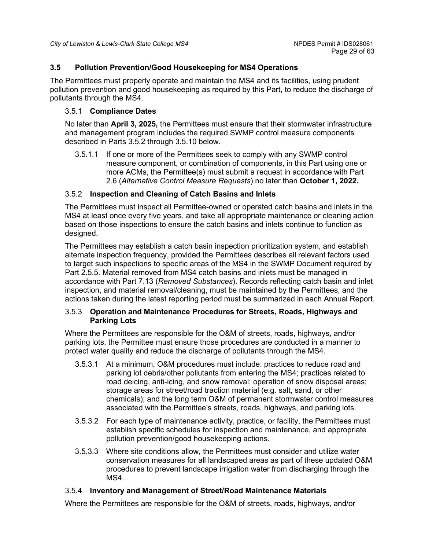## <span id="page-28-0"></span>**3.5 Pollution Prevention/Good Housekeeping for MS4 Operations**

The Permittees must properly operate and maintain the MS4 and its facilities, using prudent pollution prevention and good housekeeping as required by this Part, to reduce the discharge of pollutants through the MS4.

## 3.5.1 **Compliance Dates**

No later than **April 3, 2025,** the Permittees must ensure that their stormwater infrastructure and management program includes the required SWMP control measure components described in Parts 3.5.2 through 3.5.10 below.

3.5.1.1 If one or more of the Permittees seek to comply with any SWMP control measure component, or combination of components, in this Part using one or more ACMs, the Permittee(s) must submit a request in accordance with Part 2.6 (*Alternative Control Measure Requests*) no later than **October 1, 2022***.*

# 3.5.2 **Inspection and Cleaning of Catch Basins and Inlets**

The Permittees must inspect all Permittee-owned or operated catch basins and inlets in the MS4 at least once every five years, and take all appropriate maintenance or cleaning action based on those inspections to ensure the catch basins and inlets continue to function as designed.

The Permittees may establish a catch basin inspection prioritization system, and establish alternate inspection frequency, provided the Permittees describes all relevant factors used to target such inspections to specific areas of the MS4 in the SWMP Document required by Part 2.5.5. Material removed from MS4 catch basins and inlets must be managed in accordance with Part 7.13 (*Removed Substances*). Records reflecting catch basin and inlet inspection, and material removal/cleaning, must be maintained by the Permittees, and the actions taken during the latest reporting period must be summarized in each Annual Report.

## 3.5.3 **Operation and Maintenance Procedures for Streets, Roads, Highways and Parking Lots**

Where the Permittees are responsible for the O&M of streets, roads, highways, and/or parking lots, the Permittee must ensure those procedures are conducted in a manner to protect water quality and reduce the discharge of pollutants through the MS4.

- 3.5.3.1 At a minimum, O&M procedures must include: practices to reduce road and parking lot debris/other pollutants from entering the MS4; practices related to road deicing, anti-icing, and snow removal; operation of snow disposal areas; storage areas for street/road traction material (e.g. salt, sand, or other chemicals); and the long term O&M of permanent stormwater control measures associated with the Permittee's streets, roads, highways, and parking lots.
- 3.5.3.2 For each type of maintenance activity, practice, or facility, the Permittees must establish specific schedules for inspection and maintenance, and appropriate pollution prevention/good housekeeping actions.
- 3.5.3.3 Where site conditions allow, the Permittees must consider and utilize water conservation measures for all landscaped areas as part of these updated O&M procedures to prevent landscape irrigation water from discharging through the MS4.

## 3.5.4 **Inventory and Management of Street/Road Maintenance Materials**

Where the Permittees are responsible for the O&M of streets, roads, highways, and/or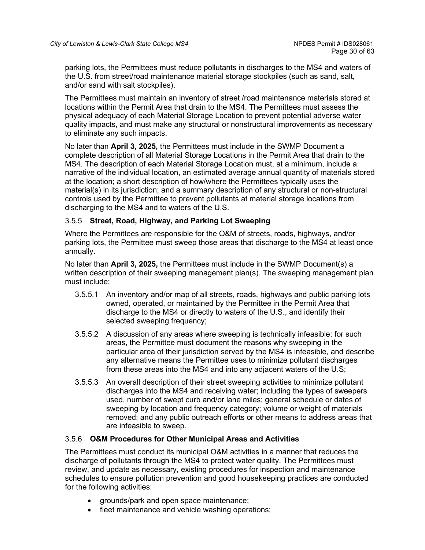parking lots, the Permittees must reduce pollutants in discharges to the MS4 and waters of the U.S. from street/road maintenance material storage stockpiles (such as sand, salt, and/or sand with salt stockpiles).

The Permittees must maintain an inventory of street /road maintenance materials stored at locations within the Permit Area that drain to the MS4. The Permittees must assess the physical adequacy of each Material Storage Location to prevent potential adverse water quality impacts, and must make any structural or nonstructural improvements as necessary to eliminate any such impacts.

No later than **April 3, 2025,** the Permittees must include in the SWMP Document a complete description of all Material Storage Locations in the Permit Area that drain to the MS4. The description of each Material Storage Location must, at a minimum, include a narrative of the individual location, an estimated average annual quantity of materials stored at the location; a short description of how/where the Permittees typically uses the material(s) in its jurisdiction; and a summary description of any structural or non-structural controls used by the Permittee to prevent pollutants at material storage locations from discharging to the MS4 and to waters of the U.S.

# 3.5.5 **Street, Road, Highway, and Parking Lot Sweeping**

Where the Permittees are responsible for the O&M of streets, roads, highways, and/or parking lots, the Permittee must sweep those areas that discharge to the MS4 at least once annually.

No later than **April 3, 2025,** the Permittees must include in the SWMP Document(s) a written description of their sweeping management plan(s). The sweeping management plan must include:

- 3.5.5.1 An inventory and/or map of all streets, roads, highways and public parking lots owned, operated, or maintained by the Permittee in the Permit Area that discharge to the MS4 or directly to waters of the U.S., and identify their selected sweeping frequency;
- 3.5.5.2 A discussion of any areas where sweeping is technically infeasible; for such areas, the Permittee must document the reasons why sweeping in the particular area of their jurisdiction served by the MS4 is infeasible, and describe any alternative means the Permittee uses to minimize pollutant discharges from these areas into the MS4 and into any adjacent waters of the U.S;
- 3.5.5.3 An overall description of their street sweeping activities to minimize pollutant discharges into the MS4 and receiving water; including the types of sweepers used, number of swept curb and/or lane miles; general schedule or dates of sweeping by location and frequency category; volume or weight of materials removed; and any public outreach efforts or other means to address areas that are infeasible to sweep.

## 3.5.6 **O&M Procedures for Other Municipal Areas and Activities**

The Permittees must conduct its municipal O&M activities in a manner that reduces the discharge of pollutants through the MS4 to protect water quality. The Permittees must review, and update as necessary, existing procedures for inspection and maintenance schedules to ensure pollution prevention and good housekeeping practices are conducted for the following activities:

- grounds/park and open space maintenance;
- fleet maintenance and vehicle washing operations;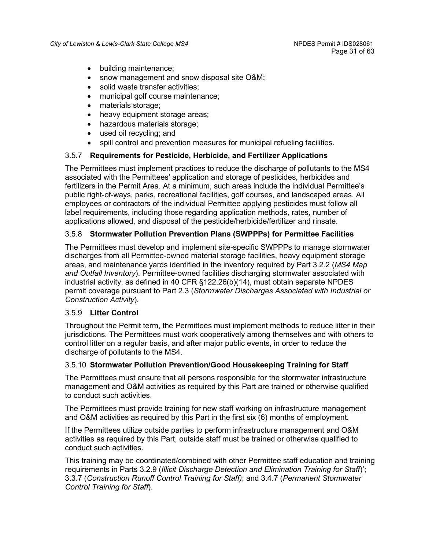- building maintenance;
- snow management and snow disposal site O&M;
- solid waste transfer activities:
- municipal golf course maintenance;
- materials storage;
- heavy equipment storage areas;
- hazardous materials storage;
- used oil recycling; and
- spill control and prevention measures for municipal refueling facilities.

#### 3.5.7 **Requirements for Pesticide, Herbicide, and Fertilizer Applications**

The Permittees must implement practices to reduce the discharge of pollutants to the MS4 associated with the Permittees' application and storage of pesticides, herbicides and fertilizers in the Permit Area. At a minimum, such areas include the individual Permittee's public right-of-ways, parks, recreational facilities, golf courses, and landscaped areas. All employees or contractors of the individual Permittee applying pesticides must follow all label requirements, including those regarding application methods, rates, number of applications allowed, and disposal of the pesticide/herbicide/fertilizer and rinsate.

## 3.5.8 **Stormwater Pollution Prevention Plans (SWPPPs) for Permittee Facilities**

The Permittees must develop and implement site-specific SWPPPs to manage stormwater discharges from all Permittee-owned material storage facilities, heavy equipment storage areas, and maintenance yards identified in the inventory required by Part 3.2.2 (*MS4 Map and Outfall Inventory*). Permittee-owned facilities discharging stormwater associated with industrial activity, as defined in 40 CFR §122.26(b)(14), must obtain separate NPDES permit coverage pursuant to Part 2.3 (*Stormwater Discharges Associated with Industrial or Construction Activity*).

#### 3.5.9 **Litter Control**

Throughout the Permit term, the Permittees must implement methods to reduce litter in their jurisdictions. The Permittees must work cooperatively among themselves and with others to control litter on a regular basis, and after major public events, in order to reduce the discharge of pollutants to the MS4.

#### 3.5.10 **Stormwater Pollution Prevention/Good Housekeeping Training for Staff**

The Permittees must ensure that all persons responsible for the stormwater infrastructure management and O&M activities as required by this Part are trained or otherwise qualified to conduct such activities.

The Permittees must provide training for new staff working on infrastructure management and O&M activities as required by this Part in the first six (6) months of employment.

If the Permittees utilize outside parties to perform infrastructure management and O&M activities as required by this Part, outside staff must be trained or otherwise qualified to conduct such activities.

This training may be coordinated/combined with other Permittee staff education and training requirements in Parts 3.2.9 (*Illicit Discharge Detection and Elimination Training for Staff*)'; 3.3.7 (*Construction Runoff Control Training for Staff)*; and 3.4.7 (*Permanent Stormwater Control Training for Staff*).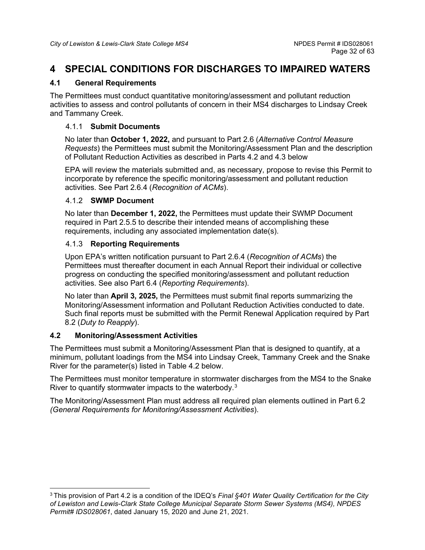# <span id="page-31-0"></span>**4 SPECIAL CONDITIONS FOR DISCHARGES TO IMPAIRED WATERS**

# <span id="page-31-1"></span>**4.1 General Requirements**

The Permittees must conduct quantitative monitoring/assessment and pollutant reduction activities to assess and control pollutants of concern in their MS4 discharges to Lindsay Creek and Tammany Creek.

## 4.1.1 **Submit Documents**

No later than **October 1, 2022,** and pursuant to Part 2.6 (*Alternative Control Measure Requests*) the Permittees must submit the Monitoring/Assessment Plan and the description of Pollutant Reduction Activities as described in Parts 4.2 and 4.3 below

EPA will review the materials submitted and, as necessary, propose to revise this Permit to incorporate by reference the specific monitoring/assessment and pollutant reduction activities. See Part 2.6.4 (*Recognition of ACMs*).

# 4.1.2 **SWMP Document**

No later than **December 1, 2022,** the Permittees must update their SWMP Document required in Part 2.5.5 to describe their intended means of accomplishing these requirements, including any associated implementation date(s).

# 4.1.3 **Reporting Requirements**

Upon EPA's written notification pursuant to Part 2.6.4 (*Recognition of ACMs*) the Permittees must thereafter document in each Annual Report their individual or collective progress on conducting the specified monitoring/assessment and pollutant reduction activities. See also Part 6.4 (*Reporting Requirements*).

No later than **April 3, 2025,** the Permittees must submit final reports summarizing the Monitoring/Assessment information and Pollutant Reduction Activities conducted to date. Such final reports must be submitted with the Permit Renewal Application required by Part 8.2 (*Duty to Reapply*).

# <span id="page-31-2"></span>**4.2 Monitoring/Assessment Activities**

The Permittees must submit a Monitoring/Assessment Plan that is designed to quantify, at a minimum, pollutant loadings from the MS4 into Lindsay Creek, Tammany Creek and the Snake River for the parameter(s) listed in Table 4.2 below.

The Permittees must monitor temperature in stormwater discharges from the MS4 to the Snake River to quantify stormwater impacts to the waterbody.[3](#page-31-3)

The Monitoring/Assessment Plan must address all required plan elements outlined in Part 6.2 *(General Requirements for Monitoring/Assessment Activities*).

<span id="page-31-3"></span><sup>3</sup> This provision of Part 4.2 is a condition of the IDEQ's *Final §401 Water Quality Certification for the City of Lewiston and Lewis-Clark State College Municipal Separate Storm Sewer Systems (MS4), NPDES Permit# IDS028061*, dated January 15, 2020 and June 21, 2021.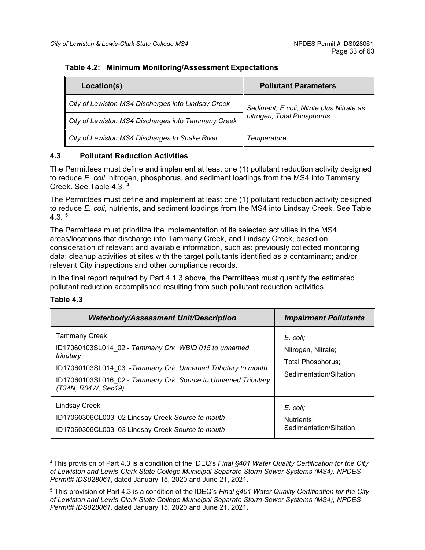#### **Table 4.2: Minimum Monitoring/Assessment Expectations**

| Location(s)                                        | <b>Pollutant Parameters</b>               |  |
|----------------------------------------------------|-------------------------------------------|--|
| City of Lewiston MS4 Discharges into Lindsay Creek | Sediment, E.coli, Nitrite plus Nitrate as |  |
| City of Lewiston MS4 Discharges into Tammany Creek | nitrogen; Total Phosphorus                |  |
| City of Lewiston MS4 Discharges to Snake River     | Temperature                               |  |

# <span id="page-32-0"></span>**4.3 Pollutant Reduction Activities**

The Permittees must define and implement at least one (1) pollutant reduction activity designed to reduce *E. coli*, nitrogen, phosphorus, and sediment loadings from the MS4 into Tammany Creek. See Table 4.3. [4](#page-32-1)

The Permittees must define and implement at least one (1) pollutant reduction activity designed to reduce *E. coli,* nutrients, and sediment loadings from the MS4 into Lindsay Creek. See Table  $4.3<sup>5</sup>$  $4.3<sup>5</sup>$  $4.3<sup>5</sup>$ 

The Permittees must prioritize the implementation of its selected activities in the MS4 areas/locations that discharge into Tammany Creek, and Lindsay Creek, based on consideration of relevant and available information, such as: previously collected monitoring data; cleanup activities at sites with the target pollutants identified as a contaminant; and/or relevant City inspections and other compliance records.

In the final report required by Part 4.1.3 above, the Permittees must quantify the estimated pollutant reduction accomplished resulting from such pollutant reduction activities.

#### **Table 4.3**

| <b>Waterbody/Assessment Unit/Description</b>                                                                                                                                                                                                    | <b>Impairment Pollutants</b>                                                   |
|-------------------------------------------------------------------------------------------------------------------------------------------------------------------------------------------------------------------------------------------------|--------------------------------------------------------------------------------|
| <b>Tammany Creek</b><br>ID17060103SL014 02 - Tammany Crk WBID 015 to unnamed<br>tributary<br>ID17060103SL014 03 - Tammany Crk Unnamed Tributary to mouth<br>ID17060103SL016 02 - Tammany Crk Source to Unnamed Tributary<br>(T34N, R04W, Sec19) | E. coli;<br>Nitrogen, Nitrate;<br>Total Phosphorus;<br>Sedimentation/Siltation |
| Lindsay Creek<br>ID17060306CL003 02 Lindsay Creek Source to mouth<br>ID17060306CL003 03 Lindsay Creek Source to mouth                                                                                                                           | E. coli;<br>Nutrients:<br>Sedimentation/Siltation                              |

<span id="page-32-1"></span><sup>4</sup> This provision of Part 4.3 is a condition of the IDEQ's *Final §401 Water Quality Certification for the City of Lewiston and Lewis-Clark State College Municipal Separate Storm Sewer Systems (MS4), NPDES Permit# IDS028061*, dated January 15, 2020 and June 21, 2021.

<span id="page-32-2"></span><sup>5</sup> This provision of Part 4.3 is a condition of the IDEQ's *Final §401 Water Quality Certification for the City of Lewiston and Lewis-Clark State College Municipal Separate Storm Sewer Systems (MS4), NPDES Permit# IDS028061*, dated January 15, 2020 and June 21, 2021.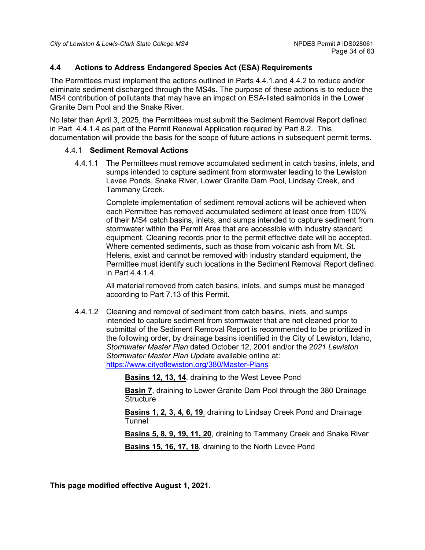## <span id="page-33-0"></span>**4.4 Actions to Address Endangered Species Act (ESA) Requirements**

The Permittees must implement the actions outlined in Parts 4.4.1.and 4.4.2 to reduce and/or eliminate sediment discharged through the MS4s. The purpose of these actions is to reduce the MS4 contribution of pollutants that may have an impact on ESA-listed salmonids in the Lower Granite Dam Pool and the Snake River.

No later than April 3, 2025, the Permittees must submit the Sediment Removal Report defined in Part 4.4.1.4 as part of the Permit Renewal Application required by Part 8.2. This documentation will provide the basis for the scope of future actions in subsequent permit terms.

#### 4.4.1 **Sediment Removal Actions**

4.4.1.1 The Permittees must remove accumulated sediment in catch basins, inlets, and sumps intended to capture sediment from stormwater leading to the Lewiston Levee Ponds, Snake River, Lower Granite Dam Pool, Lindsay Creek, and Tammany Creek.

> Complete implementation of sediment removal actions will be achieved when each Permittee has removed accumulated sediment at least once from 100% of their MS4 catch basins, inlets, and sumps intended to capture sediment from stormwater within the Permit Area that are accessible with industry standard equipment. Cleaning records prior to the permit effective date will be accepted. Where cemented sediments, such as those from volcanic ash from Mt. St. Helens, exist and cannot be removed with industry standard equipment, the Permittee must identify such locations in the Sediment Removal Report defined in Part 4.4.1.4.

All material removed from catch basins, inlets, and sumps must be managed according to Part 7.13 of this Permit.

4.4.1.2 Cleaning and removal of sediment from catch basins, inlets, and sumps intended to capture sediment from stormwater that are not cleaned prior to submittal of the Sediment Removal Report is recommended to be prioritized in the following order, by drainage basins identified in the City of Lewiston, Idaho, *Stormwater Master Plan* dated October 12, 2001 and/or the 2*021 Lewiston Stormwater Master Plan Updat*e available online at: <https://www.cityoflewiston.org/380/Master-Plans>

**Basins 12, 13, 14**, draining to the West Levee Pond

**Basin 7**, draining to Lower Granite Dam Pool through the 380 Drainage **Structure** 

**Basins 1, 2, 3, 4, 6, 19**, draining to Lindsay Creek Pond and Drainage Tunnel

**Basins 5, 8, 9, 19, 11, 20**, draining to Tammany Creek and Snake River

**Basins 15, 16, 17, 18**, draining to the North Levee Pond

**This page modified effective August 1, 2021.**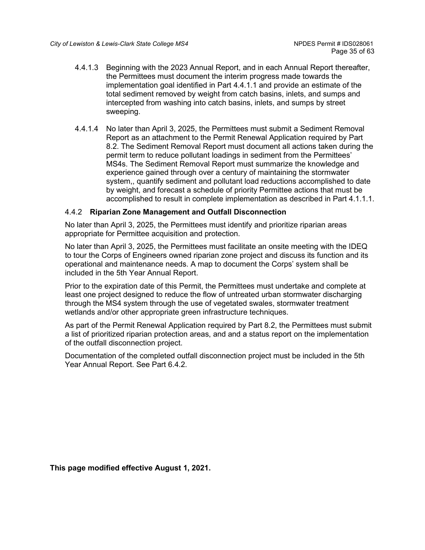- 4.4.1.3 Beginning with the 2023 Annual Report, and in each Annual Report thereafter, the Permittees must document the interim progress made towards the implementation goal identified in Part 4.4.1.1 and provide an estimate of the total sediment removed by weight from catch basins, inlets, and sumps and intercepted from washing into catch basins, inlets, and sumps by street sweeping.
- 4.4.1.4 No later than April 3, 2025, the Permittees must submit a Sediment Removal Report as an attachment to the Permit Renewal Application required by Part 8.2. The Sediment Removal Report must document all actions taken during the permit term to reduce pollutant loadings in sediment from the Permittees' MS4s. The Sediment Removal Report must summarize the knowledge and experience gained through over a century of maintaining the stormwater system,, quantify sediment and pollutant load reductions accomplished to date by weight, and forecast a schedule of priority Permittee actions that must be accomplished to result in complete implementation as described in Part 4.1.1.1.

## 4.4.2 **Riparian Zone Management and Outfall Disconnection**

No later than April 3, 2025, the Permittees must identify and prioritize riparian areas appropriate for Permittee acquisition and protection.

No later than April 3, 2025, the Permittees must facilitate an onsite meeting with the IDEQ to tour the Corps of Engineers owned riparian zone project and discuss its function and its operational and maintenance needs. A map to document the Corps' system shall be included in the 5th Year Annual Report.

Prior to the expiration date of this Permit, the Permittees must undertake and complete at least one project designed to reduce the flow of untreated urban stormwater discharging through the MS4 system through the use of vegetated swales, stormwater treatment wetlands and/or other appropriate green infrastructure techniques.

As part of the Permit Renewal Application required by Part 8.2, the Permittees must submit a list of prioritized riparian protection areas, and and a status report on the implementation of the outfall disconnection project.

Documentation of the completed outfall disconnection project must be included in the 5th Year Annual Report. See Part 6.4.2.

**This page modified effective August 1, 2021.**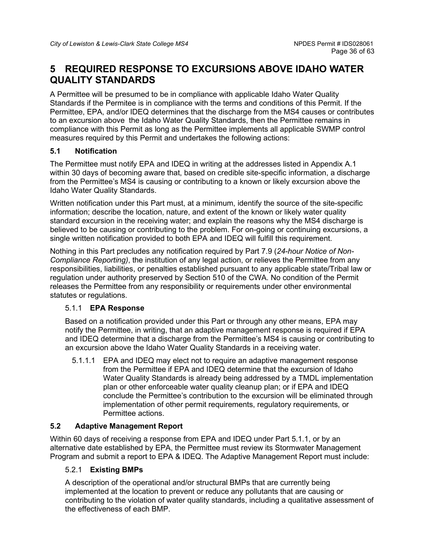# <span id="page-35-0"></span>**5 REQUIRED RESPONSE TO EXCURSIONS ABOVE IDAHO WATER QUALITY STANDARDS**

A Permittee will be presumed to be in compliance with applicable Idaho Water Quality Standards if the Permitee is in compliance with the terms and conditions of this Permit. If the Permittee, EPA, and/or IDEQ determines that the discharge from the MS4 causes or contributes to an excursion above the Idaho Water Quality Standards, then the Permittee remains in compliance with this Permit as long as the Permittee implements all applicable SWMP control measures required by this Permit and undertakes the following actions:

# <span id="page-35-1"></span>**5.1 Notification**

The Permittee must notify EPA and IDEQ in writing at the addresses listed in Appendix A.1 within 30 days of becoming aware that, based on credible site-specific information, a discharge from the Permittee's MS4 is causing or contributing to a known or likely excursion above the Idaho Water Quality Standards.

Written notification under this Part must, at a minimum, identify the source of the site-specific information; describe the location, nature, and extent of the known or likely water quality standard excursion in the receiving water; and explain the reasons why the MS4 discharge is believed to be causing or contributing to the problem. For on-going or continuing excursions, a single written notification provided to both EPA and IDEQ will fulfill this requirement.

Nothing in this Part precludes any notification required by Part 7.9 (*24-hour Notice of Non-Compliance Reporting)*, the institution of any legal action, or relieves the Permittee from any responsibilities, liabilities, or penalties established pursuant to any applicable state/Tribal law or regulation under authority preserved by Section 510 of the CWA. No condition of the Permit releases the Permittee from any responsibility or requirements under other environmental statutes or regulations.

## 5.1.1 **EPA Response**

Based on a notification provided under this Part or through any other means, EPA may notify the Permittee, in writing, that an adaptive management response is required if EPA and IDEQ determine that a discharge from the Permittee's MS4 is causing or contributing to an excursion above the Idaho Water Quality Standards in a receiving water.

5.1.1.1 EPA and IDEQ may elect not to require an adaptive management response from the Permittee if EPA and IDEQ determine that the excursion of Idaho Water Quality Standards is already being addressed by a TMDL implementation plan or other enforceable water quality cleanup plan; or if EPA and IDEQ conclude the Permittee's contribution to the excursion will be eliminated through implementation of other permit requirements, regulatory requirements, or Permittee actions.

# <span id="page-35-2"></span>**5.2 Adaptive Management Report**

Within 60 days of receiving a response from EPA and IDEQ under Part 5.1.1, or by an alternative date established by EPA, the Permittee must review its Stormwater Management Program and submit a report to EPA & IDEQ. The Adaptive Management Report must include:

# 5.2.1 **Existing BMPs**

A description of the operational and/or structural BMPs that are currently being implemented at the location to prevent or reduce any pollutants that are causing or contributing to the violation of water quality standards, including a qualitative assessment of the effectiveness of each BMP.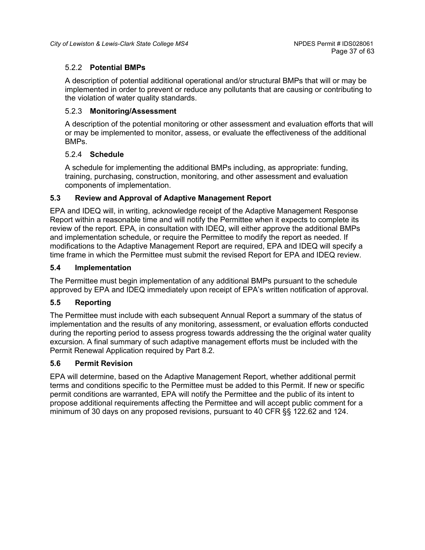## 5.2.2 **Potential BMPs**

A description of potential additional operational and/or structural BMPs that will or may be implemented in order to prevent or reduce any pollutants that are causing or contributing to the violation of water quality standards.

#### 5.2.3 **Monitoring/Assessment**

A description of the potential monitoring or other assessment and evaluation efforts that will or may be implemented to monitor, assess, or evaluate the effectiveness of the additional BMPs.

#### 5.2.4 **Schedule**

A schedule for implementing the additional BMPs including, as appropriate: funding, training, purchasing, construction, monitoring, and other assessment and evaluation components of implementation.

## <span id="page-36-0"></span>**5.3 Review and Approval of Adaptive Management Report**

EPA and IDEQ will, in writing, acknowledge receipt of the Adaptive Management Response Report within a reasonable time and will notify the Permittee when it expects to complete its review of the report. EPA, in consultation with IDEQ, will either approve the additional BMPs and implementation schedule, or require the Permittee to modify the report as needed. If modifications to the Adaptive Management Report are required, EPA and IDEQ will specify a time frame in which the Permittee must submit the revised Report for EPA and IDEQ review.

#### <span id="page-36-1"></span>**5.4 Implementation**

The Permittee must begin implementation of any additional BMPs pursuant to the schedule approved by EPA and IDEQ immediately upon receipt of EPA's written notification of approval.

## <span id="page-36-2"></span>**5.5 Reporting**

The Permittee must include with each subsequent Annual Report a summary of the status of implementation and the results of any monitoring, assessment, or evaluation efforts conducted during the reporting period to assess progress towards addressing the the original water quality excursion. A final summary of such adaptive management efforts must be included with the Permit Renewal Application required by Part 8.2.

## <span id="page-36-3"></span>**5.6 Permit Revision**

EPA will determine, based on the Adaptive Management Report, whether additional permit terms and conditions specific to the Permittee must be added to this Permit. If new or specific permit conditions are warranted, EPA will notify the Permittee and the public of its intent to propose additional requirements affecting the Permittee and will accept public comment for a minimum of 30 days on any proposed revisions, pursuant to 40 CFR §§ 122.62 and 124.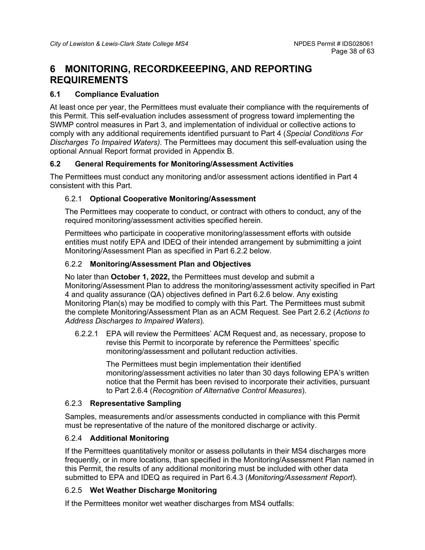# <span id="page-37-0"></span>**6 MONITORING, RECORDKEEEPING, AND REPORTING REQUIREMENTS**

# <span id="page-37-1"></span>**6.1 Compliance Evaluation**

At least once per year, the Permittees must evaluate their compliance with the requirements of this Permit. This self-evaluation includes assessment of progress toward implementing the SWMP control measures in Part 3, and implementation of individual or collective actions to comply with any additional requirements identified pursuant to Part 4 (*Special Conditions For Discharges To Impaired Waters).* The Permittees may document this self-evaluation using the optional Annual Report format provided in Appendix B.

## <span id="page-37-2"></span>**6.2 General Requirements for Monitoring/Assessment Activities**

The Permittees must conduct any monitoring and/or assessment actions identified in Part 4 consistent with this Part.

## 6.2.1 **Optional Cooperative Monitoring/Assessment**

The Permittees may cooperate to conduct, or contract with others to conduct, any of the required monitoring/assessment activities specified herein.

Permittees who participate in cooperative monitoring/assessment efforts with outside entities must notify EPA and IDEQ of their intended arrangement by submimitting a joint Monitoring/Assessment Plan as specified in Part 6.2.2 below.

## 6.2.2 **Monitoring/Assessment Plan and Objectives**

No later than **October 1, 2022,** the Permittees must develop and submit a Monitoring/Assessment Plan to address the monitoring/assessment activity specified in Part 4 and quality assurance (QA) objectives defined in Part 6.2.6 below. Any existing Monitoring Plan(s) may be modified to comply with this Part. The Permittees must submit the complete Monitoring/Assessment Plan as an ACM Request. See Part 2.6.2 (*Actions to Address Discharges to Impaired Waters*).

6.2.2.1 EPA will review the Permittees' ACM Request and, as necessary, propose to revise this Permit to incorporate by reference the Permittees' specific monitoring/assessment and pollutant reduction activities.

> The Permittees must begin implementation their identified monitoring/assessment activities no later than 30 days following EPA's written notice that the Permit has been revised to incorporate their activities, pursuant to Part 2.6.4 (*Recognition of Alternative Control Measures*).

## 6.2.3 **Representative Sampling**

Samples, measurements and/or assessments conducted in compliance with this Permit must be representative of the nature of the monitored discharge or activity.

## 6.2.4 **Additional Monitoring**

If the Permittees quantitatively monitor or assess pollutants in their MS4 discharges more frequently, or in more locations, than specified in the Monitoring/Assessment Plan named in this Permit, the results of any additional monitoring must be included with other data submitted to EPA and IDEQ as required in Part 6.4.3 (*Monitoring/Assessment Report*).

## 6.2.5 **Wet Weather Discharge Monitoring**

If the Permittees monitor wet weather discharges from MS4 outfalls: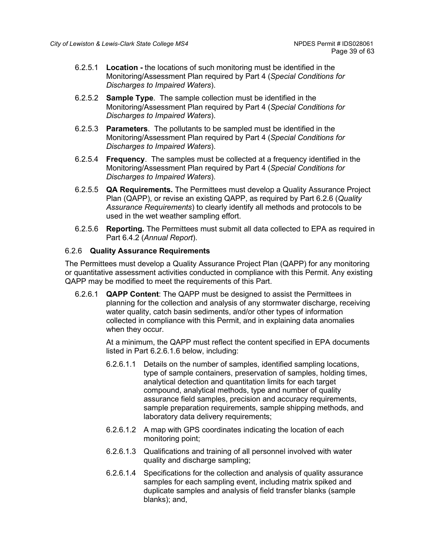- 6.2.5.1 **Location -** the locations of such monitoring must be identified in the Monitoring/Assessment Plan required by Part 4 (*Special Conditions for Discharges to Impaired Waters*).
- 6.2.5.2 **Sample Type**. The sample collection must be identified in the Monitoring/Assessment Plan required by Part 4 (*Special Conditions for Discharges to Impaired Waters*).
- 6.2.5.3 **Parameters**. The pollutants to be sampled must be identified in the Monitoring/Assessment Plan required by Part 4 (*Special Conditions for Discharges to Impaired Waters*).
- 6.2.5.4 **Frequency**. The samples must be collected at a frequency identified in the Monitoring/Assessment Plan required by Part 4 (*Special Conditions for Discharges to Impaired Waters*).
- 6.2.5.5 **QA Requirements.** The Permittees must develop a Quality Assurance Project Plan (QAPP), or revise an existing QAPP, as required by Part 6.2.6 (*Quality Assurance Requirements*) to clearly identify all methods and protocols to be used in the wet weather sampling effort.
- 6.2.5.6 **Reporting.** The Permittees must submit all data collected to EPA as required in Part 6.4.2 (*Annual Report*).

#### 6.2.6 **Quality Assurance Requirements**

The Permittees must develop a Quality Assurance Project Plan (QAPP) for any monitoring or quantitative assessment activities conducted in compliance with this Permit. Any existing QAPP may be modified to meet the requirements of this Part.

6.2.6.1 **QAPP Content**: The QAPP must be designed to assist the Permittees in planning for the collection and analysis of any stormwater discharge, receiving water quality, catch basin sediments, and/or other types of information collected in compliance with this Permit, and in explaining data anomalies when they occur.

> At a minimum, the QAPP must reflect the content specified in EPA documents listed in Part 6.2.6.1.6 below, including:

- 6.2.6.1.1 Details on the number of samples, identified sampling locations, type of sample containers, preservation of samples, holding times, analytical detection and quantitation limits for each target compound, analytical methods, type and number of quality assurance field samples, precision and accuracy requirements, sample preparation requirements, sample shipping methods, and laboratory data delivery requirements;
- 6.2.6.1.2 A map with GPS coordinates indicating the location of each monitoring point;
- 6.2.6.1.3 Qualifications and training of all personnel involved with water quality and discharge sampling;
- 6.2.6.1.4 Specifications for the collection and analysis of quality assurance samples for each sampling event, including matrix spiked and duplicate samples and analysis of field transfer blanks (sample blanks); and,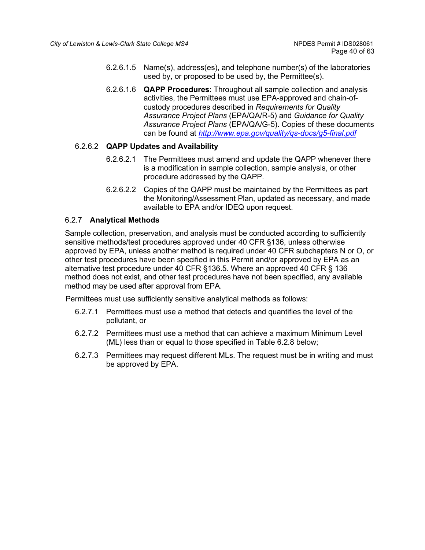- 6.2.6.1.5 Name(s), address(es), and telephone number(s) of the laboratories used by, or proposed to be used by, the Permittee(s).
- 6.2.6.1.6 **QAPP Procedures**: Throughout all sample collection and analysis activities, the Permittees must use EPA-approved and chain-ofcustody procedures described in *Requirements for Quality Assurance Project Plans* (EPA/QA/R-5) and *Guidance for Quality Assurance Project Plans* (EPA/QA/G-5). Copies of these documents can be found at *<http://www.epa.gov/quality/qs-docs/g5-final.pdf>*

## 6.2.6.2 **QAPP Updates and Availability**

- 6.2.6.2.1 The Permittees must amend and update the QAPP whenever there is a modification in sample collection, sample analysis, or other procedure addressed by the QAPP.
- 6.2.6.2.2 Copies of the QAPP must be maintained by the Permittees as part the Monitoring/Assessment Plan, updated as necessary, and made available to EPA and/or IDEQ upon request.

## 6.2.7 **Analytical Methods**

Sample collection, preservation, and analysis must be conducted according to sufficiently sensitive methods/test procedures approved under 40 CFR §136, unless otherwise approved by EPA, unless another method is required under 40 CFR subchapters N or O, or other test procedures have been specified in this Permit and/or approved by EPA as an alternative test procedure under 40 CFR §136.5. Where an approved 40 CFR § 136 method does not exist, and other test procedures have not been specified, any available method may be used after approval from EPA.

Permittees must use sufficiently sensitive analytical methods as follows:

- 6.2.7.1 Permittees must use a method that detects and quantifies the level of the pollutant, or
- 6.2.7.2 Permittees must use a method that can achieve a maximum Minimum Level (ML) less than or equal to those specified in Table 6.2.8 below;
- 6.2.7.3 Permittees may request different MLs. The request must be in writing and must be approved by EPA.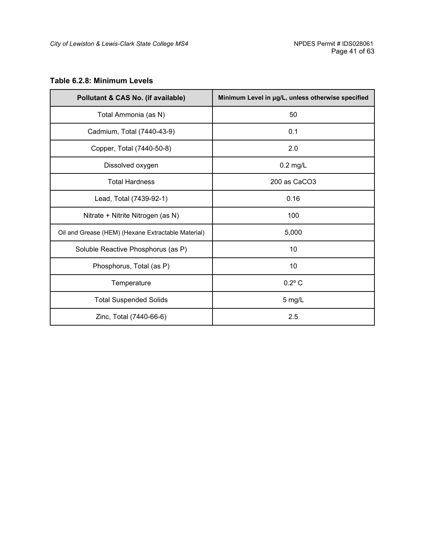# **Table 6.2.8: Minimum Levels**

| Pollutant & CAS No. (if available)                 | Minimum Level in µg/L, unless otherwise specified |  |
|----------------------------------------------------|---------------------------------------------------|--|
| Total Ammonia (as N)                               | 50                                                |  |
| Cadmium, Total (7440-43-9)                         | 0.1                                               |  |
| Copper, Total (7440-50-8)                          | 2.0                                               |  |
| Dissolved oxygen                                   | $0.2$ mg/L                                        |  |
| <b>Total Hardness</b>                              | 200 as CaCO3                                      |  |
| Lead, Total (7439-92-1)                            | 0.16                                              |  |
| Nitrate + Nitrite Nitrogen (as N)                  | 100                                               |  |
| Oil and Grease (HEM) (Hexane Extractable Material) | 5,000                                             |  |
| Soluble Reactive Phosphorus (as P)                 | 10                                                |  |
| Phosphorus, Total (as P)                           | 10                                                |  |
| Temperature                                        | $0.2$ °C                                          |  |
| <b>Total Suspended Solids</b>                      | 5 mg/L                                            |  |
| Zinc, Total (7440-66-6)                            | 2.5                                               |  |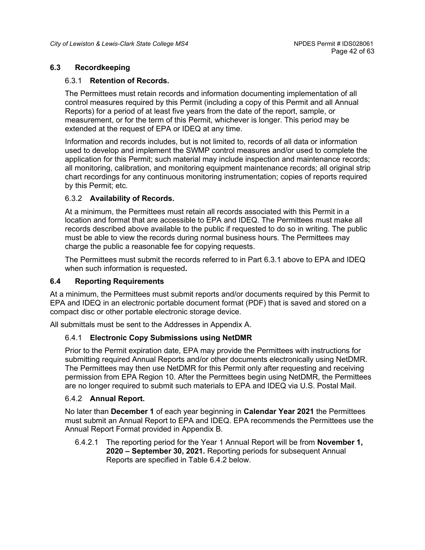#### <span id="page-41-0"></span>**6.3 Recordkeeping**

#### 6.3.1 **Retention of Records.**

The Permittees must retain records and information documenting implementation of all control measures required by this Permit (including a copy of this Permit and all Annual Reports) for a period of at least five years from the date of the report, sample, or measurement, or for the term of this Permit, whichever is longer. This period may be extended at the request of EPA or IDEQ at any time.

Information and records includes, but is not limited to, records of all data or information used to develop and implement the SWMP control measures and/or used to complete the application for this Permit; such material may include inspection and maintenance records; all monitoring, calibration, and monitoring equipment maintenance records; all original strip chart recordings for any continuous monitoring instrumentation; copies of reports required by this Permit; etc.

#### 6.3.2 **Availability of Records.**

At a minimum, the Permittees must retain all records associated with this Permit in a location and format that are accessible to EPA and IDEQ. The Permittees must make all records described above available to the public if requested to do so in writing. The public must be able to view the records during normal business hours. The Permittees may charge the public a reasonable fee for copying requests.

The Permittees must submit the records referred to in Part 6.3.1 above to EPA and IDEQ when such information is requested**.**

#### <span id="page-41-1"></span>**6.4 Reporting Requirements**

At a minimum, the Permittees must submit reports and/or documents required by this Permit to EPA and IDEQ in an electronic portable document format (PDF) that is saved and stored on a compact disc or other portable electronic storage device.

All submittals must be sent to the Addresses in Appendix A.

## 6.4.1 **Electronic Copy Submissions using NetDMR**

Prior to the Permit expiration date, EPA may provide the Permittees with instructions for submitting required Annual Reports and/or other documents electronically using NetDMR. The Permittees may then use NetDMR for this Permit only after requesting and receiving permission from EPA Region 10. After the Permittees begin using NetDMR, the Permittees are no longer required to submit such materials to EPA and IDEQ via U.S. Postal Mail.

#### 6.4.2 **Annual Report.**

No later than **December 1** of each year beginning in **Calendar Year 2021** the Permittees must submit an Annual Report to EPA and IDEQ. EPA recommends the Permittees use the Annual Report Format provided in Appendix B.

6.4.2.1 The reporting period for the Year 1 Annual Report will be from **November 1, 2020 – September 30, 2021***.* Reporting periods for subsequent Annual Reports are specified in Table 6.4.2 below.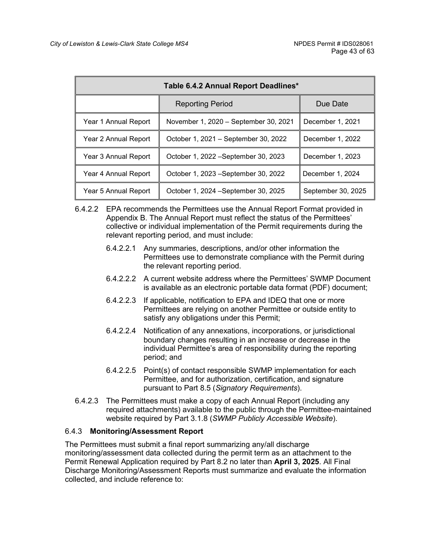| Table 6.4.2 Annual Report Deadlines*                                 |                                       |                    |  |
|----------------------------------------------------------------------|---------------------------------------|--------------------|--|
| <b>Reporting Period</b>                                              |                                       | Due Date           |  |
| Year 1 Annual Report                                                 | November 1, 2020 – September 30, 2021 | December 1, 2021   |  |
| Year 2 Annual Report<br>Year 3 Annual Report<br>Year 4 Annual Report | October 1, 2021 – September 30, 2022  | December 1, 2022   |  |
|                                                                      | October 1, 2022 - September 30, 2023  | December 1, 2023   |  |
|                                                                      | October 1, 2023 – September 30, 2022  | December 1, 2024   |  |
| Year 5 Annual Report                                                 | October 1, 2024 – September 30, 2025  | September 30, 2025 |  |

- 6.4.2.2 EPA recommends the Permittees use the Annual Report Format provided in Appendix B. The Annual Report must reflect the status of the Permittees' collective or individual implementation of the Permit requirements during the relevant reporting period, and must include:
	- 6.4.2.2.1 Any summaries, descriptions, and/or other information the Permittees use to demonstrate compliance with the Permit during the relevant reporting period.
	- 6.4.2.2.2 A current website address where the Permittees' SWMP Document is available as an electronic portable data format (PDF) document;
	- 6.4.2.2.3 If applicable, notification to EPA and IDEQ that one or more Permittees are relying on another Permittee or outside entity to satisfy any obligations under this Permit;
	- 6.4.2.2.4 Notification of any annexations, incorporations, or jurisdictional boundary changes resulting in an increase or decrease in the individual Permittee's area of responsibility during the reporting period; and
	- 6.4.2.2.5 Point(s) of contact responsible SWMP implementation for each Permittee, and for authorization, certification, and signature pursuant to Part 8.5 (*Signatory Requirements*).
- 6.4.2.3 The Permittees must make a copy of each Annual Report (including any required attachments) available to the public through the Permittee-maintained website required by Part 3.1.8 (*SWMP Publicly Accessible Website*).

## 6.4.3 **Monitoring/Assessment Report**

The Permittees must submit a final report summarizing any/all discharge monitoring/assessment data collected during the permit term as an attachment to the Permit Renewal Application required by Part 8.2 no later than **April 3, 2025**. All Final Discharge Monitoring/Assessment Reports must summarize and evaluate the information collected, and include reference to: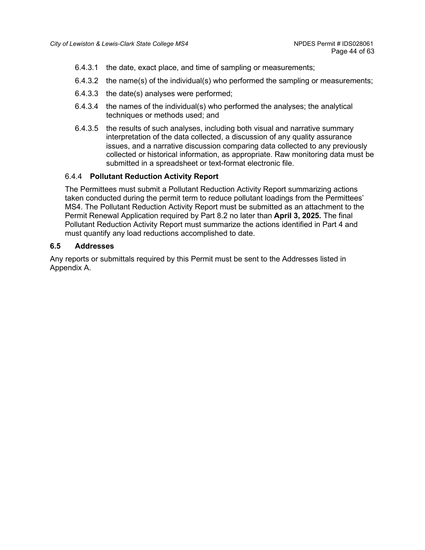- 6.4.3.1 the date, exact place, and time of sampling or measurements;
- 6.4.3.2 the name(s) of the individual(s) who performed the sampling or measurements;
- 6.4.3.3 the date(s) analyses were performed;
- 6.4.3.4 the names of the individual(s) who performed the analyses; the analytical techniques or methods used; and
- 6.4.3.5 the results of such analyses, including both visual and narrative summary interpretation of the data collected, a discussion of any quality assurance issues, and a narrative discussion comparing data collected to any previously collected or historical information, as appropriate. Raw monitoring data must be submitted in a spreadsheet or text-format electronic file.

#### 6.4.4 **Pollutant Reduction Activity Report**

The Permittees must submit a Pollutant Reduction Activity Report summarizing actions taken conducted during the permit term to reduce pollutant loadings from the Permittees' MS4. The Pollutant Reduction Activity Report must be submitted as an attachment to the Permit Renewal Application required by Part 8.2 no later than **April 3, 2025.** The final Pollutant Reduction Activity Report must summarize the actions identified in Part 4 and must quantify any load reductions accomplished to date.

#### <span id="page-43-0"></span>**6.5 Addresses**

Any reports or submittals required by this Permit must be sent to the Addresses listed in Appendix A.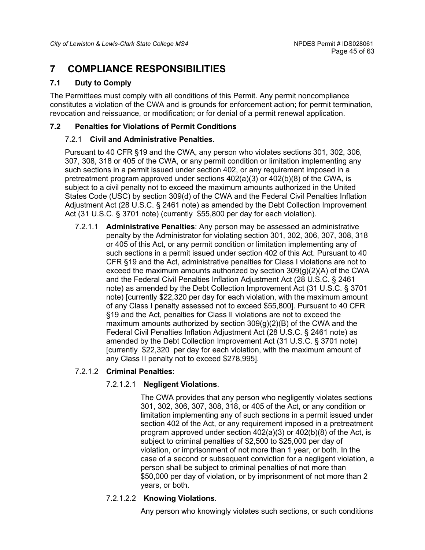# <span id="page-44-0"></span>**7 COMPLIANCE RESPONSIBILITIES**

# <span id="page-44-1"></span>**7.1 Duty to Comply**

The Permittees must comply with all conditions of this Permit. Any permit noncompliance constitutes a violation of the CWA and is grounds for enforcement action; for permit termination, revocation and reissuance, or modification; or for denial of a permit renewal application.

# <span id="page-44-2"></span>**7.2 Penalties for Violations of Permit Conditions**

# 7.2.1 **Civil and Administrative Penalties.**

Pursuant to 40 CFR §19 and the CWA, any person who violates sections 301, 302, 306, 307, 308, 318 or 405 of the CWA, or any permit condition or limitation implementing any such sections in a permit issued under section 402, or any requirement imposed in a pretreatment program approved under sections 402(a)(3) or 402(b)(8) of the CWA, is subject to a civil penalty not to exceed the maximum amounts authorized in the United States Code (USC) by section 309(d) of the CWA and the Federal Civil Penalties Inflation Adjustment Act (28 U.S.C. § 2461 note) as amended by the Debt Collection Improvement Act (31 U.S.C. § 3701 note) (currently \$55,800 per day for each violation).

7.2.1.1 **Administrative Penalties**: Any person may be assessed an administrative penalty by the Administrator for violating section 301, 302, 306, 307, 308, 318 or 405 of this Act, or any permit condition or limitation implementing any of such sections in a permit issued under section 402 of this Act. Pursuant to 40 CFR §19 and the Act, administrative penalties for Class I violations are not to exceed the maximum amounts authorized by section  $309(q)(2)(A)$  of the CWA and the Federal Civil Penalties Inflation Adjustment Act (28 U.S.C. § 2461 note) as amended by the Debt Collection Improvement Act (31 U.S.C. § 3701 note) [currently \$22,320 per day for each violation, with the maximum amount of any Class I penalty assessed not to exceed \$55,800]. Pursuant to 40 CFR §19 and the Act, penalties for Class II violations are not to exceed the maximum amounts authorized by section  $309(g)(2)(B)$  of the CWA and the Federal Civil Penalties Inflation Adjustment Act (28 U.S.C. § 2461 note) as amended by the Debt Collection Improvement Act (31 U.S.C. § 3701 note) [currently \$22,320 per day for each violation, with the maximum amount of any Class II penalty not to exceed \$278,995].

# 7.2.1.2 **Criminal Penalties**:

# 7.2.1.2.1 **Negligent Violations**.

The CWA provides that any person who negligently violates sections 301, 302, 306, 307, 308, 318, or 405 of the Act, or any condition or limitation implementing any of such sections in a permit issued under section 402 of the Act, or any requirement imposed in a pretreatment program approved under section 402(a)(3) or 402(b)(8) of the Act, is subject to criminal penalties of \$2,500 to \$25,000 per day of violation, or imprisonment of not more than 1 year, or both. In the case of a second or subsequent conviction for a negligent violation, a person shall be subject to criminal penalties of not more than \$50,000 per day of violation, or by imprisonment of not more than 2 years, or both.

# 7.2.1.2.2 **Knowing Violations**.

Any person who knowingly violates such sections, or such conditions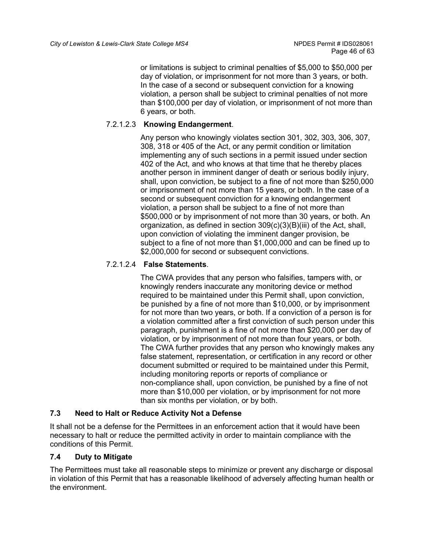or limitations is subject to criminal penalties of \$5,000 to \$50,000 per day of violation, or imprisonment for not more than 3 years, or both. In the case of a second or subsequent conviction for a knowing violation, a person shall be subject to criminal penalties of not more than \$100,000 per day of violation, or imprisonment of not more than 6 years, or both.

# 7.2.1.2.3 **Knowing Endangerment**.

Any person who knowingly violates section 301, 302, 303, 306, 307, 308, 318 or 405 of the Act, or any permit condition or limitation implementing any of such sections in a permit issued under section 402 of the Act, and who knows at that time that he thereby places another person in imminent danger of death or serious bodily injury, shall, upon conviction, be subject to a fine of not more than \$250,000 or imprisonment of not more than 15 years, or both. In the case of a second or subsequent conviction for a knowing endangerment violation, a person shall be subject to a fine of not more than \$500,000 or by imprisonment of not more than 30 years, or both. An organization, as defined in section 309(c)(3)(B)(iii) of the Act, shall, upon conviction of violating the imminent danger provision, be subject to a fine of not more than \$1,000,000 and can be fined up to \$2,000,000 for second or subsequent convictions.

# 7.2.1.2.4 **False Statements**.

The CWA provides that any person who falsifies, tampers with, or knowingly renders inaccurate any monitoring device or method required to be maintained under this Permit shall, upon conviction, be punished by a fine of not more than \$10,000, or by imprisonment for not more than two years, or both. If a conviction of a person is for a violation committed after a first conviction of such person under this paragraph, punishment is a fine of not more than \$20,000 per day of violation, or by imprisonment of not more than four years, or both. The CWA further provides that any person who knowingly makes any false statement, representation, or certification in any record or other document submitted or required to be maintained under this Permit, including monitoring reports or reports of compliance or non-compliance shall, upon conviction, be punished by a fine of not more than \$10,000 per violation, or by imprisonment for not more than six months per violation, or by both.

## <span id="page-45-0"></span>**7.3 Need to Halt or Reduce Activity Not a Defense**

It shall not be a defense for the Permittees in an enforcement action that it would have been necessary to halt or reduce the permitted activity in order to maintain compliance with the conditions of this Permit.

## <span id="page-45-1"></span>**7.4 Duty to Mitigate**

The Permittees must take all reasonable steps to minimize or prevent any discharge or disposal in violation of this Permit that has a reasonable likelihood of adversely affecting human health or the environment.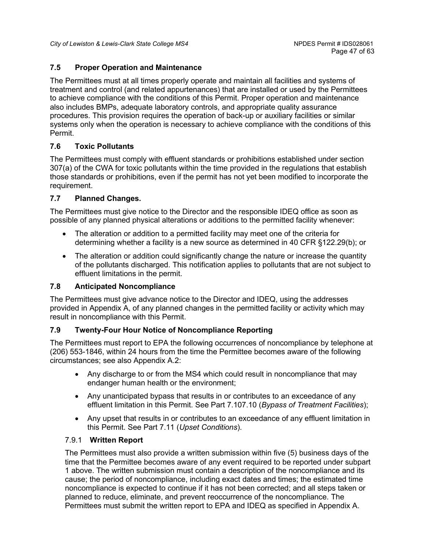# <span id="page-46-0"></span>**7.5 Proper Operation and Maintenance**

The Permittees must at all times properly operate and maintain all facilities and systems of treatment and control (and related appurtenances) that are installed or used by the Permittees to achieve compliance with the conditions of this Permit. Proper operation and maintenance also includes BMPs, adequate laboratory controls, and appropriate quality assurance procedures. This provision requires the operation of back-up or auxiliary facilities or similar systems only when the operation is necessary to achieve compliance with the conditions of this Permit.

# <span id="page-46-1"></span>**7.6 Toxic Pollutants**

The Permittees must comply with effluent standards or prohibitions established under section 307(a) of the CWA for toxic pollutants within the time provided in the regulations that establish those standards or prohibitions, even if the permit has not yet been modified to incorporate the requirement.

## <span id="page-46-2"></span>**7.7 Planned Changes.**

The Permittees must give notice to the Director and the responsible IDEQ office as soon as possible of any planned physical alterations or additions to the permitted facility whenever:

- The alteration or addition to a permitted facility may meet one of the criteria for determining whether a facility is a new source as determined in 40 CFR §122.29(b); or
- The alteration or addition could significantly change the nature or increase the quantity of the pollutants discharged. This notification applies to pollutants that are not subject to effluent limitations in the permit.

## <span id="page-46-3"></span>**7.8 Anticipated Noncompliance**

The Permittees must give advance notice to the Director and IDEQ, using the addresses provided in Appendix A, of any planned changes in the permitted facility or activity which may result in noncompliance with this Permit.

## <span id="page-46-4"></span>**7.9 Twenty-Four Hour Notice of Noncompliance Reporting**

The Permittees must report to EPA the following occurrences of noncompliance by telephone at (206) 553-1846, within 24 hours from the time the Permittee becomes aware of the following circumstances; see also Appendix A.2:

- Any discharge to or from the MS4 which could result in noncompliance that may endanger human health or the environment;
- Any unanticipated bypass that results in or contributes to an exceedance of any effluent limitation in this Permit. See Part [7.107](#page-47-0).10 (*Bypass of Treatment Facilities*);
- Any upset that results in or contributes to an exceedance of any effluent limitation in this Permit. See Part 7.11 (*Upset Conditions*).

## 7.9.1 **Written Report**

The Permittees must also provide a written submission within five (5) business days of the time that the Permittee becomes aware of any event required to be reported under subpart 1 above. The written submission must contain a description of the noncompliance and its cause; the period of noncompliance, including exact dates and times; the estimated time noncompliance is expected to continue if it has not been corrected; and all steps taken or planned to reduce, eliminate, and prevent reoccurrence of the noncompliance. The Permittees must submit the written report to EPA and IDEQ as specified in Appendix A.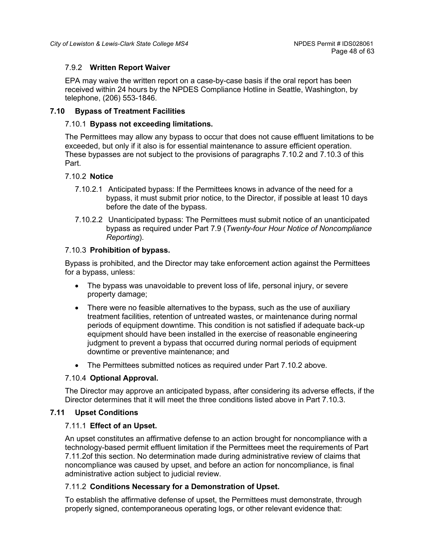## 7.9.2 **Written Report Waiver**

EPA may waive the written report on a case-by-case basis if the oral report has been received within 24 hours by the NPDES Compliance Hotline in Seattle, Washington, by telephone, (206) 553-1846.

## <span id="page-47-0"></span>**7.10 Bypass of Treatment Facilities**

#### 7.10.1 **Bypass not exceeding limitations.**

The Permittees may allow any bypass to occur that does not cause effluent limitations to be exceeded, but only if it also is for essential maintenance to assure efficient operation. These bypasses are not subject to the provisions of paragraphs 7.10.2 and 7.10.3 of this Part.

#### 7.10.2 **Notice**

- 7.10.2.1 Anticipated bypass: If the Permittees knows in advance of the need for a bypass, it must submit prior notice, to the Director, if possible at least 10 days before the date of the bypass.
- 7.10.2.2 Unanticipated bypass: The Permittees must submit notice of an unanticipated bypass as required under Part 7.9 (*Twenty-four Hour Notice of Noncompliance Reporting*).

#### 7.10.3 **Prohibition of bypass.**

Bypass is prohibited, and the Director may take enforcement action against the Permittees for a bypass, unless:

- The bypass was unavoidable to prevent loss of life, personal injury, or severe property damage;
- There were no feasible alternatives to the bypass, such as the use of auxiliary treatment facilities, retention of untreated wastes, or maintenance during normal periods of equipment downtime. This condition is not satisfied if adequate back-up equipment should have been installed in the exercise of reasonable engineering judgment to prevent a bypass that occurred during normal periods of equipment downtime or preventive maintenance; and
- The Permittees submitted notices as required under Part 7.10.2 above.

#### 7.10.4 **Optional Approval.**

The Director may approve an anticipated bypass, after considering its adverse effects, if the Director determines that it will meet the three conditions listed above in Part 7.10.3.

## <span id="page-47-1"></span>**7.11 Upset Conditions**

#### 7.11.1 **Effect of an Upset.**

An upset constitutes an affirmative defense to an action brought for noncompliance with a technology-based permit effluent limitation if the Permittees meet the requirements of Part [7.11.2o](#page-47-2)f this section. No determination made during administrative review of claims that noncompliance was caused by upset, and before an action for noncompliance, is final administrative action subject to judicial review.

## <span id="page-47-2"></span>7.11.2 **Conditions Necessary for a Demonstration of Upset.**

To establish the affirmative defense of upset, the Permittees must demonstrate, through properly signed, contemporaneous operating logs, or other relevant evidence that: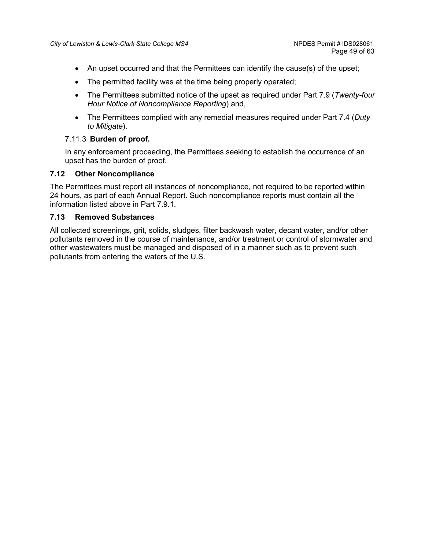- An upset occurred and that the Permittees can identify the cause(s) of the upset;
- The permitted facility was at the time being properly operated;
- The Permittees submitted notice of the upset as required under Part 7.9 (*Twenty-four Hour Notice of Noncompliance Reporting*) and,
- The Permittees complied with any remedial measures required under Part 7.4 (*Duty to Mitigate*).

#### 7.11.3 **Burden of proof.**

In any enforcement proceeding, the Permittees seeking to establish the occurrence of an upset has the burden of proof.

#### <span id="page-48-0"></span>**7.12 Other Noncompliance**

The Permittees must report all instances of noncompliance, not required to be reported within 24 hours, as part of each Annual Report. Such noncompliance reports must contain all the information listed above in Part 7.9.1.

#### <span id="page-48-1"></span>**7.13 Removed Substances**

All collected screenings, grit, solids, sludges, filter backwash water, decant water, and/or other pollutants removed in the course of maintenance, and/or treatment or control of stormwater and other wastewaters must be managed and disposed of in a manner such as to prevent such pollutants from entering the waters of the U.S.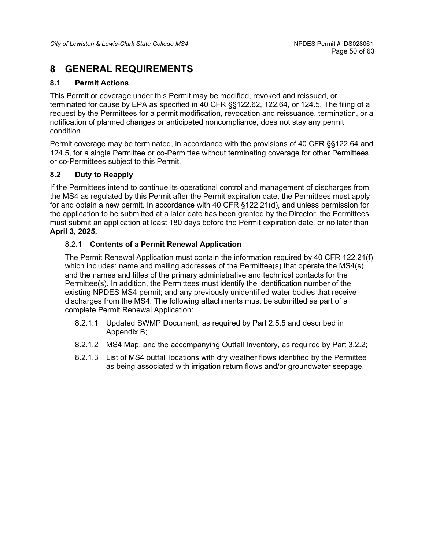# <span id="page-49-0"></span>**8 GENERAL REQUIREMENTS**

# <span id="page-49-1"></span>**8.1 Permit Actions**

This Permit or coverage under this Permit may be modified, revoked and reissued, or terminated for cause by EPA as specified in 40 CFR §§122.62, 122.64, or 124.5. The filing of a request by the Permittees for a permit modification, revocation and reissuance, termination, or a notification of planned changes or anticipated noncompliance, does not stay any permit condition.

Permit coverage may be terminated, in accordance with the provisions of 40 CFR §§122.64 and 124.5, for a single Permittee or co-Permittee without terminating coverage for other Permittees or co-Permittees subject to this Permit.

# <span id="page-49-2"></span>**8.2 Duty to Reapply**

If the Permittees intend to continue its operational control and management of discharges from the MS4 as regulated by this Permit after the Permit expiration date, the Permittees must apply for and obtain a new permit. In accordance with 40 CFR §122.21(d), and unless permission for the application to be submitted at a later date has been granted by the Director, the Permittees must submit an application at least 180 days before the Permit expiration date, or no later than **April 3, 2025.**

## 8.2.1 **Contents of a Permit Renewal Application**

The Permit Renewal Application must contain the information required by 40 CFR 122.21(f) which includes: name and mailing addresses of the Permittee(s) that operate the MS4(s), and the names and titles of the primary administrative and technical contacts for the Permittee(s). In addition, the Permittees must identify the identification number of the existing NPDES MS4 permit; and any previously unidentified water bodies that receive discharges from the MS4. The following attachments must be submitted as part of a complete Permit Renewal Application:

- 8.2.1.1 Updated SWMP Document, as required by Part 2.5.5 and described in Appendix B;
- 8.2.1.2 MS4 Map, and the accompanying Outfall Inventory, as required by Part 3.2.2;
- 8.2.1.3 List of MS4 outfall locations with dry weather flows identified by the Permittee as being associated with irrigation return flows and/or groundwater seepage,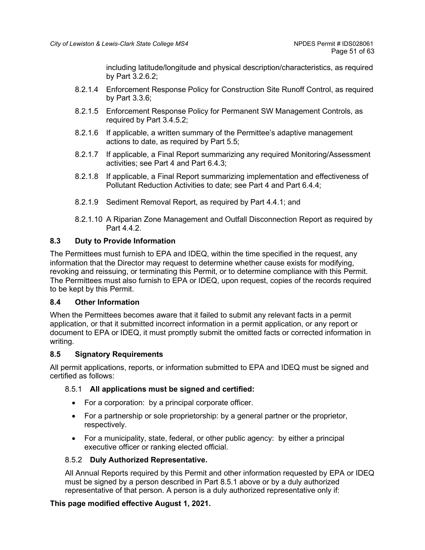including latitude/longitude and physical description/characteristics, as required by Part 3.2.6.2;

- 8.2.1.4 Enforcement Response Policy for Construction Site Runoff Control, as required by Part 3.3.6;
- 8.2.1.5 Enforcement Response Policy for Permanent SW Management Controls, as required by Part 3.4.5.2;
- 8.2.1.6 If applicable, a written summary of the Permittee's adaptive management actions to date, as required by Part 5.5;
- 8.2.1.7 If applicable, a Final Report summarizing any required Monitoring/Assessment activities; see Part 4 and Part 6.4.3;
- 8.2.1.8 If applicable, a Final Report summarizing implementation and effectiveness of Pollutant Reduction Activities to date; see Part 4 and Part 6.4.4;
- 8.2.1.9 Sediment Removal Report, as required by Part 4.4.1; and
- 8.2.1.10 A Riparian Zone Management and Outfall Disconnection Report as required by Part 4.4.2.

# <span id="page-50-0"></span>**8.3 Duty to Provide Information**

The Permittees must furnish to EPA and IDEQ, within the time specified in the request, any information that the Director may request to determine whether cause exists for modifying, revoking and reissuing, or terminating this Permit, or to determine compliance with this Permit. The Permittees must also furnish to EPA or IDEQ, upon request, copies of the records required to be kept by this Permit.

## <span id="page-50-1"></span>**8.4 Other Information**

When the Permittees becomes aware that it failed to submit any relevant facts in a permit application, or that it submitted incorrect information in a permit application, or any report or document to EPA or IDEQ, it must promptly submit the omitted facts or corrected information in writing.

## <span id="page-50-2"></span>**8.5 Signatory Requirements**

All permit applications, reports, or information submitted to EPA and IDEQ must be signed and certified as follows:

## 8.5.1 **All applications must be signed and certified:**

- For a corporation: by a principal corporate officer.
- For a partnership or sole proprietorship: by a general partner or the proprietor, respectively.
- For a municipality, state, federal, or other public agency: by either a principal executive officer or ranking elected official.

# 8.5.2 **Duly Authorized Representative.**

All Annual Reports required by this Permit and other information requested by EPA or IDEQ must be signed by a person described in Part 8.5.1 above or by a duly authorized representative of that person. A person is a duly authorized representative only if:

## **This page modified effective August 1, 2021.**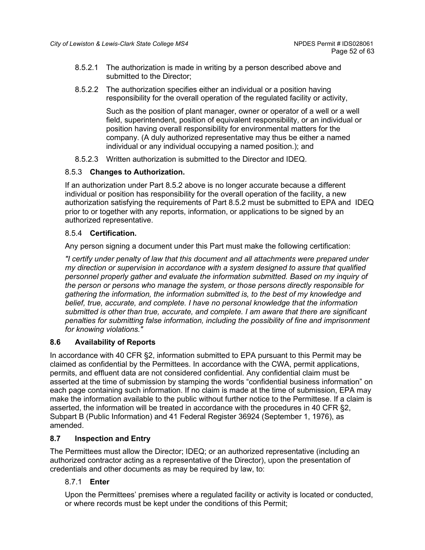- 8.5.2.1 The authorization is made in writing by a person described above and submitted to the Director;
- 8.5.2.2 The authorization specifies either an individual or a position having responsibility for the overall operation of the regulated facility or activity,

Such as the position of plant manager, owner or operator of a well or a well field, superintendent, position of equivalent responsibility, or an individual or position having overall responsibility for environmental matters for the company. (A duly authorized representative may thus be either a named individual or any individual occupying a named position.); and

8.5.2.3 Written authorization is submitted to the Director and IDEQ.

## 8.5.3 **Changes to Authorization.**

If an authorization under Part 8.5.2 above is no longer accurate because a different individual or position has responsibility for the overall operation of the facility, a new authorization satisfying the requirements of Part 8.5.2 must be submitted to EPA and IDEQ prior to or together with any reports, information, or applications to be signed by an authorized representative.

# 8.5.4 **Certification.**

Any person signing a document under this Part must make the following certification:

*"I certify under penalty of law that this document and all attachments were prepared under my direction or supervision in accordance with a system designed to assure that qualified personnel properly gather and evaluate the information submitted. Based on my inquiry of the person or persons who manage the system, or those persons directly responsible for gathering the information, the information submitted is, to the best of my knowledge and belief, true, accurate, and complete. I have no personal knowledge that the information submitted is other than true, accurate, and complete. I am aware that there are significant penalties for submitting false information, including the possibility of fine and imprisonment for knowing violations."*

## <span id="page-51-0"></span>**8.6 Availability of Reports**

In accordance with 40 CFR §2, information submitted to EPA pursuant to this Permit may be claimed as confidential by the Permittees. In accordance with the CWA, permit applications, permits, and effluent data are not considered confidential. Any confidential claim must be asserted at the time of submission by stamping the words "confidential business information" on each page containing such information. If no claim is made at the time of submission, EPA may make the information available to the public without further notice to the Permittese. If a claim is asserted, the information will be treated in accordance with the procedures in 40 CFR §2, Subpart B (Public Information) and 41 Federal Register 36924 (September 1, 1976), as amended.

## <span id="page-51-1"></span>**8.7 Inspection and Entry**

The Permittees must allow the Director; IDEQ; or an authorized representative (including an authorized contractor acting as a representative of the Director), upon the presentation of credentials and other documents as may be required by law, to:

## 8.7.1 **Enter**

Upon the Permittees' premises where a regulated facility or activity is located or conducted, or where records must be kept under the conditions of this Permit;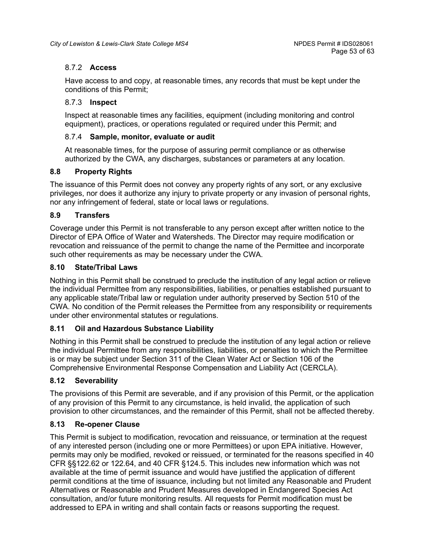# 8.7.2 **Access**

Have access to and copy, at reasonable times, any records that must be kept under the conditions of this Permit;

## 8.7.3 **Inspect**

Inspect at reasonable times any facilities, equipment (including monitoring and control equipment), practices, or operations regulated or required under this Permit; and

## 8.7.4 **Sample, monitor, evaluate or audit**

At reasonable times, for the purpose of assuring permit compliance or as otherwise authorized by the CWA, any discharges, substances or parameters at any location.

## <span id="page-52-0"></span>**8.8 Property Rights**

The issuance of this Permit does not convey any property rights of any sort, or any exclusive privileges, nor does it authorize any injury to private property or any invasion of personal rights, nor any infringement of federal, state or local laws or regulations.

## <span id="page-52-1"></span>**8.9 Transfers**

Coverage under this Permit is not transferable to any person except after written notice to the Director of EPA Office of Water and Watersheds. The Director may require modification or revocation and reissuance of the permit to change the name of the Permittee and incorporate such other requirements as may be necessary under the CWA.

#### <span id="page-52-2"></span>**8.10 State/Tribal Laws**

Nothing in this Permit shall be construed to preclude the institution of any legal action or relieve the individual Permittee from any responsibilities, liabilities, or penalties established pursuant to any applicable state/Tribal law or regulation under authority preserved by Section 510 of the CWA. No condition of the Permit releases the Permittee from any responsibility or requirements under other environmental statutes or regulations.

## <span id="page-52-3"></span>**8.11 Oil and Hazardous Substance Liability**

Nothing in this Permit shall be construed to preclude the institution of any legal action or relieve the individual Permittee from any responsibilities, liabilities, or penalties to which the Permittee is or may be subject under Section 311 of the Clean Water Act or Section 106 of the Comprehensive Environmental Response Compensation and Liability Act (CERCLA).

## <span id="page-52-4"></span>**8.12 Severability**

The provisions of this Permit are severable, and if any provision of this Permit, or the application of any provision of this Permit to any circumstance, is held invalid, the application of such provision to other circumstances, and the remainder of this Permit, shall not be affected thereby.

## <span id="page-52-5"></span>**8.13 Re-opener Clause**

This Permit is subject to modification, revocation and reissuance, or termination at the request of any interested person (including one or more Permittees) or upon EPA initiative. However, permits may only be modified, revoked or reissued, or terminated for the reasons specified in 40 CFR §§122.62 or 122.64, and 40 CFR §124.5. This includes new information which was not available at the time of permit issuance and would have justified the application of different permit conditions at the time of issuance, including but not limited any Reasonable and Prudent Alternatives or Reasonable and Prudent Measures developed in Endangered Species Act consultation, and/or future monitoring results. All requests for Permit modification must be addressed to EPA in writing and shall contain facts or reasons supporting the request.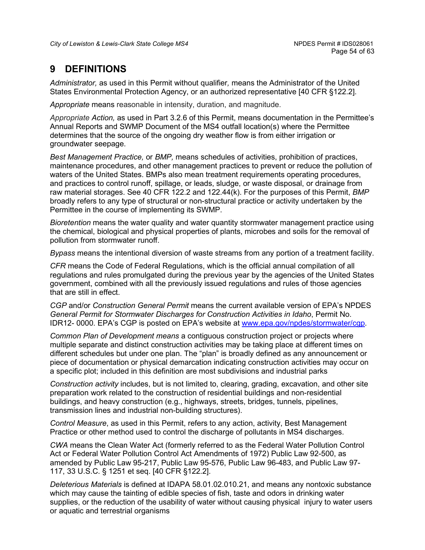# <span id="page-53-0"></span>**9 DEFINITIONS**

*Administrator,* as used in this Permit without qualifier*,* means the Administrator of the United States Environmental Protection Agency, or an authorized representative [40 CFR §122.2].

*Appropriate* means reasonable in intensity, duration, and magnitude.

*Appropriate Action,* as used in Part 3.2.6 of this Permit, means documentation in the Permittee's Annual Reports and SWMP Document of the MS4 outfall location(s) where the Permittee determines that the source of the ongoing dry weather flow is from either irrigation or groundwater seepage.

*Best Management Practice,* or *BMP,* means schedules of activities, prohibition of practices, maintenance procedures, and other management practices to prevent or reduce the pollution of waters of the United States. BMPs also mean treatment requirements operating procedures, and practices to control runoff, spillage, or leads, sludge, or waste disposal, or drainage from raw material storages. See 40 CFR 122.2 and 122.44(k). For the purposes of this Permit, *BMP* broadly refers to any type of structural or non-structural practice or activity undertaken by the Permittee in the course of implementing its SWMP.

*Bioretention* means the water quality and water quantity stormwater management practice using the chemical, biological and physical properties of plants, microbes and soils for the removal of pollution from stormwater runoff.

*Bypass* means the intentional diversion of waste streams from any portion of a treatment facility.

*CFR* means the Code of Federal Regulations, which is the official annual compilation of all regulations and rules promulgated during the previous year by the agencies of the United States government, combined with all the previously issued regulations and rules of those agencies that are still in effect.

*CGP* and/or *Construction General Permit* means the current available version of EPA's NPDES *General Permit for Stormwater Discharges for Construction Activities in Idaho*, Permit No. IDR12- 0000. EPA's CGP is posted on EPA's website at [www.epa.gov/npdes/stormwater/cgp.](http://www.epa.gov/npdes/stormwater/cgp)

*Common Plan of Development means* a contiguous construction project or projects where multiple separate and distinct construction activities may be taking place at different times on different schedules but under one plan. The "plan" is broadly defined as any announcement or piece of documentation or physical demarcation indicating construction activities may occur on a specific plot; included in this definition are most subdivisions and industrial parks

*Construction activity* includes, but is not limited to, clearing, grading, excavation, and other site preparation work related to the construction of residential buildings and non-residential buildings, and heavy construction (e.g., highways, streets, bridges, tunnels, pipelines, transmission lines and industrial non-building structures).

*Control Measure*, as used in this Permit, refers to any action, activity, Best Management Practice or other method used to control the discharge of pollutants in MS4 discharges.

*CWA* means the Clean Water Act (formerly referred to as the Federal Water Pollution Control Act or Federal Water Pollution Control Act Amendments of 1972) Public Law 92-500, as amended by Public Law 95-217, Public Law 95-576, Public Law 96-483, and Public Law 97- 117, 33 U.S.C. § 1251 et seq. [40 CFR §122.2].

*Deleterious Materials* is defined at IDAPA 58.01.02.010.21, and means any nontoxic substance which may cause the tainting of edible species of fish, taste and odors in drinking water supplies, or the reduction of the usability of water without causing physical injury to water users or aquatic and terrestrial organisms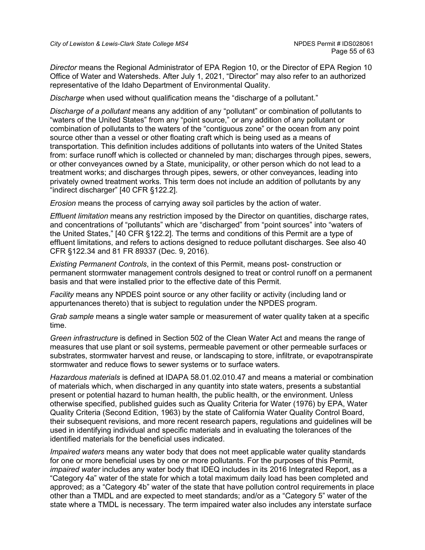*Director* means the Regional Administrator of EPA Region 10, or the Director of EPA Region 10 Office of Water and Watersheds. After July 1, 2021, "Director" may also refer to an authorized representative of the Idaho Department of Environmental Quality.

*Discharge* when used without qualification means the "discharge of a pollutant."

*Discharge of a pollutant* means any addition of any "pollutant" or combination of pollutants to "waters of the United States" from any "point source," or any addition of any pollutant or combination of pollutants to the waters of the "contiguous zone" or the ocean from any point source other than a vessel or other floating craft which is being used as a means of transportation. This definition includes additions of pollutants into waters of the United States from: surface runoff which is collected or channeled by man; discharges through pipes, sewers, or other conveyances owned by a State, municipality, or other person which do not lead to a treatment works; and discharges through pipes, sewers, or other conveyances, leading into privately owned treatment works. This term does not include an addition of pollutants by any "indirect discharger" [40 CFR §122.2].

*Erosion* means the process of carrying away soil particles by the action of water.

*Effluent limitation* means any restriction imposed by the Director on quantities, discharge rates, and concentrations of "pollutants" which are "discharged" from "point sources" into "waters of the United States," [40 CFR §122.2]. The terms and conditions of this Permit are a type of effluent limitations, and refers to actions designed to reduce pollutant discharges. See also 40 CFR §122.34 and 81 FR 89337 (Dec. 9, 2016).

*Existing Permanent Controls*, in the context of this Permit, means post- construction or permanent stormwater management controls designed to treat or control runoff on a permanent basis and that were installed prior to the effective date of this Permit.

*Facility* means any NPDES point source or any other facility or activity (including land or appurtenances thereto) that is subject to regulation under the NPDES program.

*Grab sample* means a single water sample or measurement of water quality taken at a specific time.

*Green infrastructure* is defined in Section 502 of the Clean Water Act and means the range of measures that use plant or soil systems, permeable pavement or other permeable surfaces or substrates, stormwater harvest and reuse, or landscaping to store, infiltrate, or evapotranspirate stormwater and reduce flows to sewer systems or to surface waters*.*

*Hazardous materials* is defined at IDAPA 58.01.02.010.47 and means a material or combination of materials which, when discharged in any quantity into state waters, presents a substantial present or potential hazard to human health, the public health, or the environment. Unless otherwise specified, published guides such as Quality Criteria for Water (1976) by EPA, Water Quality Criteria (Second Edition, 1963) by the state of California Water Quality Control Board, their subsequent revisions, and more recent research papers, regulations and guidelines will be used in identifying individual and specific materials and in evaluating the tolerances of the identified materials for the beneficial uses indicated.

*Impaired waters* means any water body that does not meet applicable water quality standards for one or more beneficial uses by one or more pollutants. For the purposes of this Permit, *impaired water* includes any water body that IDEQ includes in its 2016 Integrated Report, as a "Category 4a" water of the state for which a total maximum daily load has been completed and approved; as a "Category 4b" water of the state that have pollution control requirements in place other than a TMDL and are expected to meet standards; and/or as a "Category 5" water of the state where a TMDL is necessary. The term impaired water also includes any interstate surface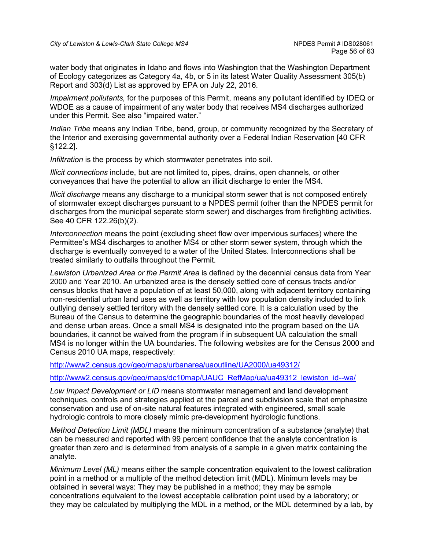water body that originates in Idaho and flows into Washington that the Washington Department of Ecology categorizes as Category 4a, 4b, or 5 in its latest Water Quality Assessment 305(b) Report and 303(d) List as approved by EPA on July 22, 2016.

*Impairment pollutants,* for the purposes of this Permit, means any pollutant identified by IDEQ or WDOE as a cause of impairment of any water body that receives MS4 discharges authorized under this Permit. See also "impaired water."

*Indian Tribe* means any Indian Tribe, band, group, or community recognized by the Secretary of the Interior and exercising governmental authority over a Federal Indian Reservation [40 CFR §122.2].

*Infiltration* is the process by which stormwater penetrates into soil.

*Illicit connections* include, but are not limited to, pipes, drains, open channels, or other conveyances that have the potential to allow an illicit discharge to enter the MS4.

*Illicit discharge* means any discharge to a municipal storm sewer that is not composed entirely of stormwater except discharges pursuant to a NPDES permit (other than the NPDES permit for discharges from the municipal separate storm sewer) and discharges from firefighting activities. See 40 CFR 122.26(b)(2).

*Interconnection* means the point (excluding sheet flow over impervious surfaces) where the Permittee's MS4 discharges to another MS4 or other storm sewer system, through which the discharge is eventually conveyed to a water of the United States. Interconnections shall be treated similarly to outfalls throughout the Permit.

*Lewiston Urbanized Area or the Permit Area* is defined by the decennial census data from Year 2000 and Year 2010. An urbanized area is the densely settled core of census tracts and/or census blocks that have a population of at least 50,000, along with adjacent territory containing non-residential urban land uses as well as territory with low population density included to link outlying densely settled territory with the densely settled core. It is a calculation used by the Bureau of the Census to determine the geographic boundaries of the most heavily developed and dense urban areas. Once a small MS4 is designated into the program based on the UA boundaries, it cannot be waived from the program if in subsequent UA calculation the small MS4 is no longer within the UA boundaries. The following websites are for the Census 2000 and Census 2010 UA maps, respectively:

<http://www2.census.gov/geo/maps/urbanarea/uaoutline/UA2000/ua49312/>

[http://www2.census.gov/geo/maps/dc10map/UAUC\\_RefMap/ua/ua49312\\_lewiston\\_id--wa/](http://www2.census.gov/geo/maps/dc10map/UAUC_RefMap/ua/ua49312_lewiston_id--wa/)

*Low Impact Development or LID* means stormwater management and land development techniques, controls and strategies applied at the parcel and subdivision scale that emphasize conservation and use of on-site natural features integrated with engineered, small scale hydrologic controls to more closely mimic pre-development hydrologic functions.

*Method Detection Limit (MDL)* means the minimum concentration of a substance (analyte) that can be measured and reported with 99 percent confidence that the analyte concentration is greater than zero and is determined from analysis of a sample in a given matrix containing the analyte.

*Minimum Level (ML)* means either the sample concentration equivalent to the lowest calibration point in a method or a multiple of the method detection limit (MDL). Minimum levels may be obtained in several ways: They may be published in a method; they may be sample concentrations equivalent to the lowest acceptable calibration point used by a laboratory; or they may be calculated by multiplying the MDL in a method, or the MDL determined by a lab, by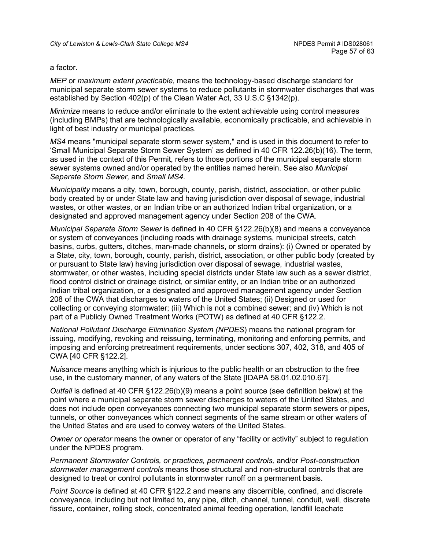#### a factor.

*MEP* or *maximum extent practicable*, means the technology-based discharge standard for municipal separate storm sewer systems to reduce pollutants in stormwater discharges that was established by Section 402(p) of the Clean Water Act, 33 U.S.C §1342(p).

*Minimize* means to reduce and/or eliminate to the extent achievable using control measures (including BMPs) that are technologically available, economically practicable, and achievable in light of best industry or municipal practices.

*MS4* means "municipal separate storm sewer system," and is used in this document to refer to 'Small Municipal Separate Storm Sewer System' as defined in 40 CFR 122.26(b)(16). The term, as used in the context of this Permit, refers to those portions of the municipal separate storm sewer systems owned and/or operated by the entities named herein. See also *Municipal Separate Storm Sewer,* and *Small MS4.*

*Municipality* means a city, town, borough, county, parish, district, association, or other public body created by or under State law and having jurisdiction over disposal of sewage, industrial wastes, or other wastes, or an Indian tribe or an authorized Indian tribal organization, or a designated and approved management agency under Section 208 of the CWA.

*Municipal Separate Storm Sewer* is defined in 40 CFR §122.26(b)(8) and means a conveyance or system of conveyances (including roads with drainage systems, municipal streets, catch basins, curbs, gutters, ditches, man-made channels, or storm drains): (i) Owned or operated by a State, city, town, borough, county, parish, district, association, or other public body (created by or pursuant to State law) having jurisdiction over disposal of sewage, industrial wastes, stormwater, or other wastes, including special districts under State law such as a sewer district, flood control district or drainage district, or similar entity, or an Indian tribe or an authorized Indian tribal organization, or a designated and approved management agency under Section 208 of the CWA that discharges to waters of the United States; (ii) Designed or used for collecting or conveying stormwater; (iii) Which is not a combined sewer; and (iv) Which is not part of a Publicly Owned Treatment Works (POTW) as defined at 40 CFR §122.2.

*National Pollutant Discharge Elimination System (NPDES*) means the national program for issuing, modifying, revoking and reissuing, terminating, monitoring and enforcing permits, and imposing and enforcing pretreatment requirements, under sections 307, 402, 318, and 405 of CWA [40 CFR §122.2].

*Nuisance* means anything which is injurious to the public health or an obstruction to the free use, in the customary manner, of any waters of the State [IDAPA 58.01.02.010.67].

*Outfall* is defined at 40 CFR §122.26(b)(9) means a point source (see definition below) at the point where a municipal separate storm sewer discharges to waters of the United States, and does not include open conveyances connecting two municipal separate storm sewers or pipes, tunnels, or other conveyances which connect segments of the same stream or other waters of the United States and are used to convey waters of the United States.

*Owner or operator* means the owner or operator of any "facility or activity" subject to regulation under the NPDES program.

*Permanent Stormwater Controls, or practices, permanent controls,* and/or *Post-construction stormwater management controls* means those structural and non-structural controls that are designed to treat or control pollutants in stormwater runoff on a permanent basis.

*Point Source* is defined at 40 CFR §122.2 and means any discernible, confined, and discrete conveyance, including but not limited to, any pipe, ditch, channel, tunnel, conduit, well, discrete fissure, container, rolling stock, concentrated animal feeding operation, landfill leachate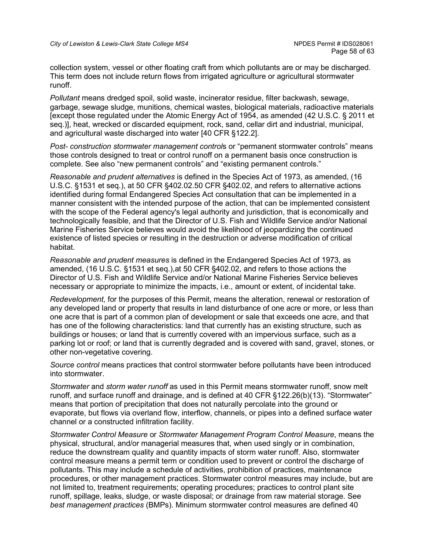collection system, vessel or other floating craft from which pollutants are or may be discharged. This term does not include return flows from irrigated agriculture or agricultural stormwater runoff.

*Pollutant* means dredged spoil, solid waste, incinerator residue, filter backwash, sewage, garbage, sewage sludge, munitions, chemical wastes, biological materials, radioactive materials [except those regulated under the Atomic Energy Act of 1954, as amended (42 U.S.C. § 2011 et seq.)], heat, wrecked or discarded equipment, rock, sand, cellar dirt and industrial, municipal, and agricultural waste discharged into water [40 CFR §122.2].

*Post- construction stormwater management control*s or "permanent stormwater controls" means those controls designed to treat or control runoff on a permanent basis once construction is complete. See also "new permanent controls" and "existing permanent controls."

*Reasonable and prudent alternatives* is defined in the Species Act of 1973, as amended, (16 U.S.C. §1531 et seq.), at 50 CFR §402.02.50 CFR §402.02, and refers to alternative actions identified during formal Endangered Species Act consultation that can be implemented in a manner consistent with the intended purpose of the action, that can be implemented consistent with the scope of the Federal agency's legal authority and jurisdiction, that is economically and technologically feasible, and that the Director of U.S. Fish and Wildlife Service and/or National Marine Fisheries Service believes would avoid the likelihood of jeopardizing the continued existence of listed species or resulting in the destruction or adverse modification of critical habitat.

*Reasonable and prudent measures* is defined in the Endangered Species Act of 1973, as amended, (16 U.S.C. §1531 et seq.),at 50 CFR §402.02, and refers to those actions the Director of U.S. Fish and Wildlife Service and/or National Marine Fisheries Service believes necessary or appropriate to minimize the impacts, i.e., amount or extent, of incidental take.

*Redevelopment,* for the purposes of this Permit, means the alteration, renewal or restoration of any developed land or property that results in land disturbance of one acre or more, or less than one acre that is part of a common plan of development or sale that exceeds one acre, and that has one of the following characteristics: land that currently has an existing structure, such as buildings or houses; or land that is currently covered with an impervious surface, such as a parking lot or roof; or land that is currently degraded and is covered with sand, gravel, stones, or other non-vegetative covering.

*Source control* means practices that control stormwater before pollutants have been introduced into stormwater.

*Stormwater* and *storm water runoff* as used in this Permit means stormwater runoff, snow melt runoff, and surface runoff and drainage, and is defined at 40 CFR §122.26(b)(13). "Stormwater" means that portion of precipitation that does not naturally percolate into the ground or evaporate, but flows via overland flow, interflow, channels, or pipes into a defined surface water channel or a constructed infiltration facility.

*Stormwater Control Measure* or *Stormwater Management Program Control Measure*, means the physical, structural, and/or managerial measures that, when used singly or in combination, reduce the downstream quality and quantity impacts of storm water runoff. Also, stormwater control measure means a permit term or condition used to prevent or control the discharge of pollutants. This may include a schedule of activities, prohibition of practices, maintenance procedures, or other management practices. Stormwater control measures may include, but are not limited to, treatment requirements; operating procedures; practices to control plant site runoff, spillage, leaks, sludge, or waste disposal; or drainage from raw material storage. See *best management practices* (BMPs). Minimum stormwater control measures are defined 40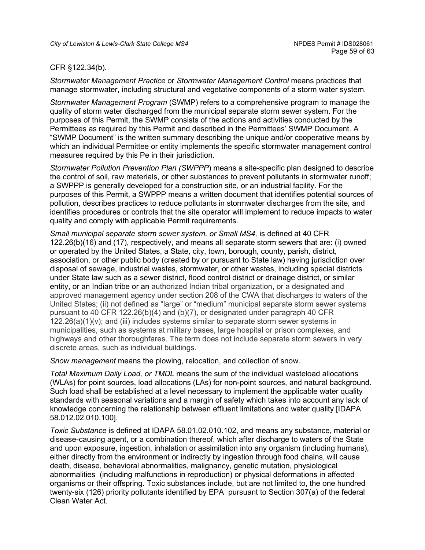#### CFR §122.34(b).

*Stormwater Management Practice* or *Stormwater Management Control* means practices that manage stormwater, including structural and vegetative components of a storm water system.

*Stormwater Management Program* (SWMP) refers to a comprehensive program to manage the quality of storm water discharged from the municipal separate storm sewer system. For the purposes of this Permit, the SWMP consists of the actions and activities conducted by the Permittees as required by this Permit and described in the Permittees' SWMP Document. A "SWMP Document" is the written summary describing the unique and/or cooperative means by which an individual Permittee or entity implements the specific stormwater management control measures required by this Pe in their jurisdiction.

*Stormwater Pollution Prevention Plan (SWPPP*) means a site-specific plan designed to describe the control of soil, raw materials, or other substances to prevent pollutants in stormwater runoff; a SWPPP is generally developed for a construction site, or an industrial facility. For the purposes of this Permit, a SWPPP means a written document that identifies potential sources of pollution, describes practices to reduce pollutants in stormwater discharges from the site, and identifies procedures or controls that the site operator will implement to reduce impacts to water quality and comply with applicable Permit requirements.

*Small municipal separate storm sewer system, or Small MS4,* is defined at 40 CFR 122.26(b)(16) and (17), respectively, and means all separate storm sewers that are: (i) owned or operated by the United States, a State, city, town, borough, county, parish, district, association, or other public body (created by or pursuant to State law) having jurisdiction over disposal of sewage, industrial wastes, stormwater, or other wastes, including special districts under State law such as a sewer district, flood control district or drainage district, or similar entity, or an Indian tribe or an authorized Indian tribal organization, or a designated and approved management agency under section 208 of the CWA that discharges to waters of the United States; (ii) not defined as "large" or "medium" municipal separate storm sewer systems pursuant to 40 CFR 122.26(b)(4) and (b)(7), or designated under paragraph 40 CFR  $122.26(a)(1)(v)$ ; and (iii) includes systems similar to separate storm sewer systems in municipalities, such as systems at military bases, large hospital or prison complexes, and highways and other thoroughfares. The term does not include separate storm sewers in very discrete areas, such as individual buildings.

*Snow management* means the plowing, relocation, and collection of snow.

*Total Maximum Daily Load, or TMDL* means the sum of the individual wasteload allocations (WLAs) for point sources, load allocations (LAs) for non-point sources, and natural background. Such load shall be established at a level necessary to implement the applicable water quality standards with seasonal variations and a margin of safety which takes into account any lack of knowledge concerning the relationship between effluent limitations and water quality [IDAPA 58.012.02.010.100].

*Toxic Substance* is defined at IDAPA 58.01.02.010.102, and means any substance, material or disease-causing agent, or a combination thereof, which after discharge to waters of the State and upon exposure, ingestion, inhalation or assimilation into any organism (including humans), either directly from the environment or indirectly by ingestion through food chains, will cause death, disease, behavioral abnormalities, malignancy, genetic mutation, physiological abnormalities (including malfunctions in reproduction) or physical deformations in affected organisms or their offspring. Toxic substances include, but are not limited to, the one hundred twenty-six (126) priority pollutants identified by EPA pursuant to Section 307(a) of the federal Clean Water Act.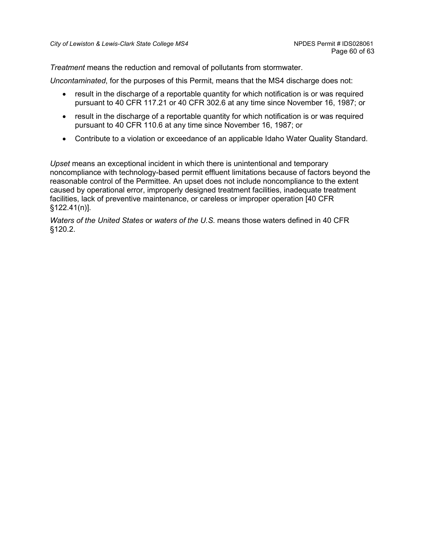*Treatment* means the reduction and removal of pollutants from stormwater.

*Uncontaminated*, for the purposes of this Permit, means that the MS4 discharge does not:

- result in the discharge of a reportable quantity for which notification is or was required pursuant to 40 CFR 117.21 or 40 CFR 302.6 at any time since November 16, 1987; or
- result in the discharge of a reportable quantity for which notification is or was required pursuant to 40 CFR 110.6 at any time since November 16, 1987; or
- Contribute to a violation or exceedance of an applicable Idaho Water Quality Standard.

*Upset* means an exceptional incident in which there is unintentional and temporary noncompliance with technology-based permit effluent limitations because of factors beyond the reasonable control of the Permittee. An upset does not include noncompliance to the extent caused by operational error, improperly designed treatment facilities, inadequate treatment facilities, lack of preventive maintenance, or careless or improper operation [40 CFR §122.41(n)].

*Waters of the United States* or *waters of the U.S*. means those waters defined in 40 CFR §120.2.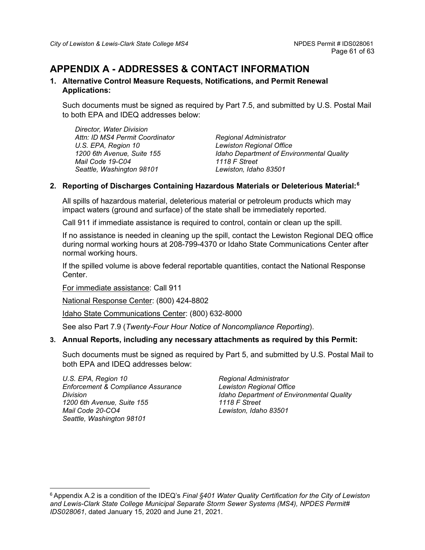# <span id="page-60-0"></span>**APPENDIX A - ADDRESSES & CONTACT INFORMATION**

#### **1. Alternative Control Measure Requests, Notifications, and Permit Renewal Applications:**

Such documents must be signed as required by Part 7.5, and submitted by U.S. Postal Mail to both EPA and IDEQ addresses below:

*Director, Water Division Attn: ID MS4 Permit Coordinator U.S. EPA, Region 10 1200 6th Avenue, Suite 155 Mail Code 19-C04 Seattle, Washington 98101*

*Regional Administrator Lewiston Regional Office Idaho Department of Environmental Quality 1118 F Street Lewiston, Idaho 83501*

## **2. Reporting of Discharges Containing Hazardous Materials or Deleterious Material:[6](#page-60-1)**

All spills of hazardous material, deleterious material or petroleum products which may impact waters (ground and surface) of the state shall be immediately reported.

Call 911 if immediate assistance is required to control, contain or clean up the spill.

If no assistance is needed in cleaning up the spill, contact the Lewiston Regional DEQ office during normal working hours at 208-799-4370 or Idaho State Communications Center after normal working hours.

If the spilled volume is above federal reportable quantities, contact the National Response Center.

For immediate assistance: Call 911

National Response Center: (800) 424-8802

Idaho State Communications Center: (800) 632-8000

See also Part 7.9 (*Twenty-Four Hour Notice of Noncompliance Reporting*).

## **3. Annual Reports, including any necessary attachments as required by this Permit:**

Such documents must be signed as required by Part 5, and submitted by U.S. Postal Mail to both EPA and IDEQ addresses below:

*U.S. EPA, Region 10 Enforcement & Compliance Assurance Division 1200 6th Avenue, Suite 155 Mail Code 20-CO4 Seattle, Washington 98101*

*Regional Administrator Lewiston Regional Office Idaho Department of Environmental Quality 1118 F Street Lewiston, Idaho 83501*

<span id="page-60-1"></span><sup>6</sup> Appendix A.2 is a condition of the IDEQ's *Final §401 Water Quality Certification for the City of Lewiston and Lewis-Clark State College Municipal Separate Storm Sewer Systems (MS4), NPDES Permit# IDS028061*, dated January 15, 2020 and June 21, 2021.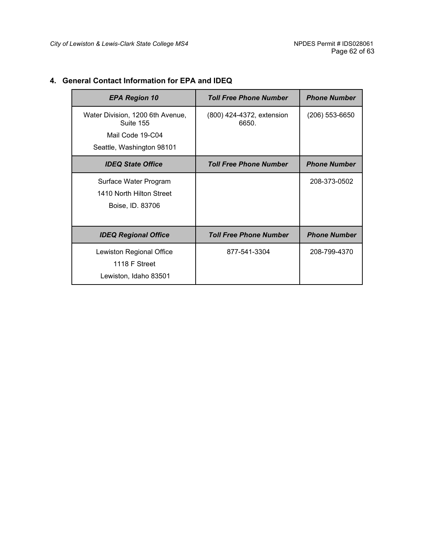| <b>EPA Region 10</b>                          | <b>Toll Free Phone Number</b>      | <b>Phone Number</b> |
|-----------------------------------------------|------------------------------------|---------------------|
| Water Division, 1200 6th Avenue,<br>Suite 155 | (800) 424-4372, extension<br>6650. | $(206)$ 553-6650    |
| Mail Code 19-C04                              |                                    |                     |
| Seattle, Washington 98101                     |                                    |                     |
| <b>IDEQ State Office</b>                      | <b>Toll Free Phone Number</b>      | <b>Phone Number</b> |
| Surface Water Program                         |                                    | 208-373-0502        |
| 1410 North Hilton Street                      |                                    |                     |
| Boise, ID. 83706                              |                                    |                     |
|                                               |                                    |                     |
| <b>IDEQ Regional Office</b>                   | <b>Toll Free Phone Number</b>      | <b>Phone Number</b> |
| Lewiston Regional Office                      | 877-541-3304                       | 208-799-4370        |
| 1118 F Street                                 |                                    |                     |
| Lewiston, Idaho 83501                         |                                    |                     |

# **4. General Contact Information for EPA and IDEQ**